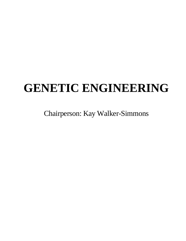# **GENETIC ENGINEERING**

Chairperson: Kay Walker-Simmons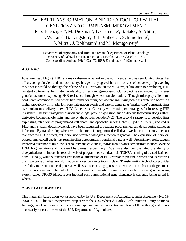# WHEAT TRANSFORMATION: A NEEDED TOOL FOR WHEAT GENETICS AND GERMPLASM IMPROVEMENT P. S. Baenziger<sup>1\*</sup>, M. Dickman<sup>2</sup>, T. Clemente<sup>1</sup>, S. Sato<sup>1</sup>, A. Mitra<sup>2</sup>, J. Watkins<sup>2</sup>, B. Langston<sup>2</sup>, B. LaVallee<sup>1</sup>, J. Schimelfenig<sup>2</sup>, S. Mitra<sup>1</sup>, J. Bohlmann<sup>1</sup> and M. Montgomery<sup>1</sup>

<sup>1</sup>Department of Agronomy and Horticulture; and <sup>2</sup>Department of Plant Pathology, University of Nebraska at Lincoln (UNL), Lincoln, NE, 68503-0915, USA Corresponding Author: PH: (402) 472-1538; E-mail: agro104@unlnotes.unl

### **ABSTRACT**

Fusarium head blight (FHB) is a major disease of wheat in the north central and eastern United States that affects both grain yield and end-use quality. It is generally agreed that the most cost effective way of preventing this disease would be through the release of FHB resistant cultivars. A major limitation to developing FHB resistant cultivars is the limited availability of resistant germplasm. Our project has attempted to increase genetic resources expressing FHB resistance through wheat transformation. Though microprojectile bombardment is commonly used, wheat transformation using *Agrobacterium tumefaciens* is preferred because a higher probability of simple, low copy integration events and ease in generating 'marker-free' transgenic lines by simultaneous delivery of two T-DNA elements. Currently we are using two strategies for increasing FHB resistance. The first strategy relies upon anti-fungal protein expression, such as bovine lactoferrin along with its derivative bovine lactoferricin, and the synthetic lytic peptide D4E1. The second strategy is to develop lines expressing inhibitors of programmed cell death (anti-apoptotic genes; Bcl-xL, Op-IAP, Sf-IAP, and ced9). FHB and its toxin, deoxynivalenol, have been suggested to regulate programmed cell death during pathogen infection. By transforming wheat with inhibitors of programmed cell death we hope to not only increase tolerance to FHB in wheat, but inhibit necrotrophic pathogen infection in general. The expression of inhibitors of programmed cell death may result in other agronomically beneficial traits as well. Preliminary results suggest improved tolerance to high levels of salinity and cold stress, as transgenic plants demonstrate reduced levels of DNA fragmentation and increased hardiness, respectively. We have also demonstrated the ability of deoxynivalenol to induce increased levels of programmed cell death via TUNEL staining of treated leaf sections. Finally, while our interest lays in the augmentation of FHB resistance present in wheat and its relatives, the importance of wheat transformation as a key genomics tools is clear. Transformation technology provides the ability to insert beneficial genes as well as silence existing genes in order to elucidate host-pathogen interactions during necrotrophic infection. For example, a newly discovered extremely efficient gene silencing system called DRIGS (direct repeat induced post transcriptional gene silencing) is currently being tested in wheat.

#### **ACKNOWLEDGEMENT**

This material is based upon work supported by the U.S. Department of Agriculture, under Agreement No. 59- 0790-9-026. This is a cooperative project with the U.S. Wheat & Barley Scab Initiative. Any opinions, findings, conclusions, or recommendations expressed in this publication are those of the author(s) and do not necessarily reflect the view of the U.S. Department of Agriculture.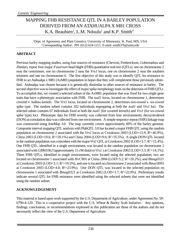# MAPPING FHB RESISTANCE QTL IN A BARLEY POPULATION DERIVED FROM AN ATAHUALPA X M81 CROSS K.A. Beaubien<sup>1</sup>, L.M. Nduulu<sup>1</sup> and K.P. Smith<sup>1\*</sup>

<sup>1</sup>Dept. of Agronomy and Plant Genetics, University of Minnesota, St. Paul, MN, USA \*Corresponding Author: PH: (612) 624-1211; E-mail: smith376@umn.edu

### **ABSTRACT**

Previous barley mapping studies, using four sources of resistance (Chevron, Frederickson, Gobernadora and Zhedar), report four major *Fusarium* head blight (FHB) quantitative trait loci (QTLs): one on chromosome 2 near the centromere, one on chromosome 2 near the *Vrs1* locus, one on chromosome 2 near the southern telomere and one on chromosome 6. The first objective of this study was to identify QTL for resistance to FHB in an Atahualpa x M81 (AxM81) population in hopes that they will complement those previously identified. Atahualpa was chosen because it is genetically dissimilar to other sources of resistance in barley. The second objective was to investigate the effect of major spike morphology traits on the detection of FHB QTLs. To accomplish this, we created a selected subset of the AxM81 population that was fixed for two single gene traits that have a phenotypic association with FHB. The *nud1* locus, located on chromosome 1, determines covered v. hulless kernels. The *Vrs1* locus, located on chromosome 2, determines two-rowed v. six-rowed spike type. The random subset contains 102 individuals segregating at both the *nud1* and *Vrs1* loci. The selected subset contains 67 individuals fixed at both the *nud1* (for covered kernels) and *Vrs1* (for six-rowed spike type) loci. Phenotypic data for FHB severity was collected from four environments; deoxynivalenol (DON) accumulation data was collected from one environment. A simple sequence repeat (SSR) linkage map was constructed using JoinMap 3.0. The map currently covers approximately 60% of the barley genome. Composite interval mapping QTL analysis with PlabQTL 3.0 has located a major FHB QTL using the random population on chromosome 2 associated with the *Vrs1* locus at Crookston 2003 (LOD=13.9; R<sup>2</sup>=46.9%), China 2003 (LOD=19.6;  $R^2$ =59.1%) and China 2004 (LOD=9.6;  $R^2$ =35.5%). A single DON QTL located in the random population was coincident with the major *Vrs1* QTL at Crookston 2002 (LOD=3.7;  $R^2$ =15.4%). One FHB QTL, identified in a single environment, was located in the random population on chromosome 2 associated with *GBM1062* (approximately 15 cM distal to *Vrs1*) at Crookston 2002 (LOD=3.3; R<sup>2</sup>=14.1%). Three FHB QTLs, identified in single environments, were located using the selected population; two are located on chromosome 1 associated with *HvCMA* at China 2004 (LOD=3.2; R<sup>2</sup>=20.2%), and *Bmag0321* at Crookston 2003 (LOD=3.1;  $R^2$ =19.5%), and one is located on chromosome 2 associated with *Bmac0093* at Crookston 2003 (LOD=4.0;  $R^2$ =23.9%). One DON QTL was located in the selected population on chromosome 1 associated with *Bmag0321* at Crookston 2002 (LOD=3.7; R<sup>2</sup>=22.9%). Preliminary results indicate several QTL for FHB resistance were identified using the selected subsets that were not identified using the random subset.

### **ACKNOWLEDGEMENT**

This material is based upon work supported by the U.S. Department of Agriculture, under Agreement No. 59- 0790-4-120. This is a cooperative project with the U.S. Wheat & Barley Scab Initiative. Any opinions, findings, conclusions, or recommendations expressed in this publication are those of the authors and do not necessarily reflect the view of the U.S. Department of Agriculture.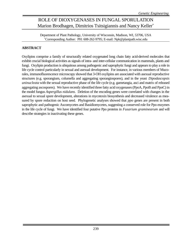# ROLE OF DIOXYGENASES IN FUNGAL SPORULATION Marion Brodhagen, Dimitrios Tsitsigiannis and Nancy Keller\*

Department of Plant Pathology, University of Wisconsin, Madison, WI, 53706, USA \*Corresponding Author: PH: 608-262-9795; E-mail: Npk@plantpath.wisc.edu

### **ABSTRACT**

Oxylipins comprise a family of structurally related oxygenated long chain fatty acid-derived molecules that exhibit crucial biological activities as signals of intra- and inter-cellular communication in mammals, plants and fungi. Oxylipin production is ubiquitous among pathogenic and saprophytic fungi and appears to play a role in life cycle control particularly in sexual and asexual development. For instance, in various members of Mucorales, immunofluorescence microscopy showed that 3-OH oxylipins are associated with asexual reproductive structures (e.g. sporangium, columella and aggregating sporangiospores), and in the yeast *Dipodascopsis uninucleata* with the sexual reproductive phase of the life cycle (e.g. gametangia, asci and matrix of released aggregating ascospores). We have recently identified three fatty acid oxygenases (PpoA, PpoB and PpoC) in the model fungus *Aspergillus nidulans*. Deletion of the encoding genes were correlated with changes in the asexual to sexual spore development, alterations in mycotoxin biosynthesis and decreased virulence as measured by spore reduction on host seed. Phylogenetic analyses showed that *ppo* genes are present in both saprophytic and pathogenic Ascomycetes and Basidiomycetes, suggesting a conserved role for Ppo enzymes in the life cycle of fungi. We have identified four putative Ppo proteins in *Fusarium graminearum* and will describe strategies in inactivating these genes.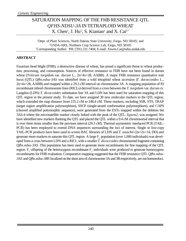# SATURATION MAPPING OF THE FHB RESISTANCE QTL *QFHS-NDSU-3A* IN TETRAPLOID WHEAT  $X.$  Chen<sup>1</sup>, J. Hu<sup>2</sup>, S. Kianian<sup>1</sup> and X. Cai<sup>1\*</sup>

<sup>1</sup>Dept. of Plant Sciences, North Dakota State University, Fargo, ND 58105; and <sup>2</sup>USDA-ARS, Northern Crop Science Lab, Fargo, ND 58105 \*Corresponding Author: PH: (701) 231-7404; E-mail: Xiwen.Cai@ndsu.nodak.edu

### **ABSTRACT**

Fusarium head blight (FHB), a destructive disease of wheat, has posed a significant threat to wheat production, processing, and consumption. Sources of effective resistance to FHB have not been found in durum wheat (*Triticum turgidum* var. *durum* L., 2n=4x=28, AABB). A major FHB resistance quantitative trait locus (QTL) *Qfhs.ndsu-3AS* was identified from a wild tetraploid wheat accession (*T. dococcoides* L., 2n=4x=28, AABB) and mapped within a 29.3 cM interval on chromosome 3A. A mapping population of 83 recombinant inbred chromosome lines (RICLs) derived from a cross between the *T. turgidum* var. *durum* cv. Langdon (LDN)-*T. dicoccoides* substitution line 3A and LDN has been used for saturation mapping of this QTL region in the present study. To date, we have assigned 30 new molecular markers to the QTL region, which extended the map distance from 155.2 cM to 248.4 cM. These markers, including SSR, STS, TRAP (target region amplification polymorphism), SSCP (single-strand conformation polymorphism), and CAPS (cleaved amplified polymorphic sequence), were generated from the ESTs mapped within the deletion bin 3AS-4 where the microsatellite marker closely linked with the peak of the QTL, *Xgwm2*, was assigned. We have identified new markers flanking the QTL and placed the QTL within a 9.4 cM chromosomal interval that is over three times smaller than the previous interval (29.3 cM). Thermal asymmetric interlaced PCR (TAIL-PCR) has been employed to extend DNA sequences surrounding the loci of interest. Single or low-copy TAIL-PCR products have been used to screen BAC libraries of LDN and *T. tauschii* (2n=2x=14, DD) and generate more markers to saturate this QTL region. A large  $F_2$  population (over 1,000 individuals) was developed from a cross between LDN and a RICL with a smaller *T. dicoccoides* chromosomal fragment containing *Qfhs.ndsu-3AS*. This population has been used to generate more recombinants for fine mapping of the QTL region.  $F_3$  offspring of the heterozygous recombinant  $F_2$  individuals were produced to generate homozygous recombinants for FHB evaluation. Comparative mapping suggested that the FHB resistance QTL *Qfhs.ndsu-3AS* and *Qfhs.ndsu-3BS* localized on the short arm of chromosome 3A and 3B respectively, are not homoeoloci.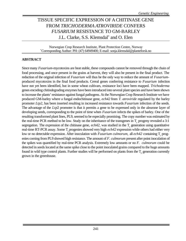# TISSUE SPECIFIC EXPRESSION OF A CHITINASE GENE FROM *TRICHODERMA ATROVIRIDE* CONFERS *FUSARIUM* RESISTANCE TO GM-BARLEY J.L. Clarke, S.S. Klemsdal\* and O. Elen

Norwegian Crop Research Institute, Plant Protection Centre, Norway \*Corresponding Author: PH: (47) 64949400; E-mail: sonja.klemsdal@planteforsk.no

### **ABSTRACT**

Since many *Fusarium*-mycotoxins are heat stable, these compounds cannot be removed through the chain of food processing, and once present in the grains at harvest, they will also be present in the final product. The reduction of the original infection of *Fusarium* will thus be the only way to reduce the amount of *Fusarium*produced mycotoxins in the final food products. Cereal genes conferring resistance to *Fusarium* infection have not yet been identified, but in some wheat cultivars, resistance loci have been mapped. *Trichoderma* genes encoding chitindegrading enzymes have been introduced into several plant species and have been shown to increase the plants' resistance against fungal pathogens. At the Norwegian Crop Research Institute we have produced GM-barley where a fungal endochitinase gene, *ech42* from *T. atroviride* regulated by the barley promoter *Ltp2*, has been inserted resulting in increased resistance towards *Fusarium* infection of the seeds. The advantage of the *Ltp*2 promoter is that it permits a gene to be expressed only in the aleurone layer of developing seeds, corresponding to the point of time when *Fusarium* infects the spikes of barley. One of the resulting transformed plant lines, PL9, seemed to be especially promising. The copy number was estimated by the real-time PCR method to be low. Study on the inheritance of the transgenes in  $T_1$  progeny revealed a 3:1 segregation. The expression of the chitinase gene,  $ech42$ , was studied in the  $T<sub>1</sub>$  generation using quantitative real-time RT-PCR assay. Some T<sub>1</sub> progenies showed very high *ech42* expression while others had either very low or no detectable expression. After inoculation with *Fusarium culmorum*, all *ech42* containing T<sub>1</sub> progenies coming from PL9 showed high resistance. The amount of *F. culmorum* present after point inoculation of the spikes was quantified by real-time PCR analysis. Extremely low amounts or no *F. culmorum* could be detected in seeds located at the same spike close to the point inoculated grains compared to the huge amounts found in wild type control plants. Further studies will be performed on plants from the  $T_2$  generation currently grown in the greenhouse.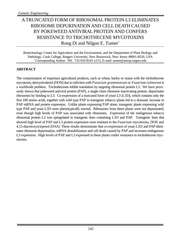# ATRUNCATED FORM OF RIBOSOMAL PROTEIN L3 ELIMINATES RIBOSOME DEPURINATION AND CELL DEATH CAUSED BY POKEWEED ANTIVIRAL PROTEIN AND CONFERS RESISTANCE TO TRICHOTHECENE MYCOTOXINS Rong Di and Nilgun E. Tumer\*

Biotechnology Center for Agriculture and the Environment, and the Department of Plant Biology and Pathology, Cook College, Rutgers University, New Brunswick, New Jersey 08901-8520, USA \*Corresponding Author: PH: 732-932-8165 x215; E-mail: tumer@aesop.rutgers.edu

### **ABSTRACT**

The contamination of important agricultural products, such as wheat, barley or maize with the trichothecene mycotoxin, deoxynivalenol (DON) due to infection with *Fusarium graminearum* or *Fusarium culmorum* is a worldwide problem. Trichothecenes inhibit translation by targeting ribosomal protein L3. We have previously shown that pokeweed antiviral protein (PAP), a single chain ribosome inactivating protein, depurinates ribosomes by binding to L3. Co-expression of a truncated form of yeast L3 (L3D), which contains only the first 100 amino acids, together with wild type PAP in transgenic tobacco plants led to a dramatic increase in PAP mRNA and protein expression. Unlike plants expressing PAP alone, transgenic plants expressing wild type PAP and yeast L3D were phenotypically normal. Ribosomes from these plants were not depurinated, even though high levels of PAP was associated with ribosomes. Expression of the endogenous tobacco ribosomal protein L3 was upregulated in transgenic lines containing L3D and PAP. Transgenic lines that showed high level of PAP and L3 protein expression were resistant to the *Fusarium* mycotoxins, DON and 4,15-diacetoxyscirpenol (DAS). These results demonstrate that co-expression of yeast L3D and PAP eliminates ribosome depurination, mRNA destabilization and cell death caused by PAP and increases endogenous L3 expression. High levels of PAP and L3 expressed in these plants confer resistance to trichothecene mycotoxins.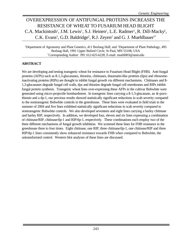# OVEREXPRESSION OF ANTIFUNGAL PROTEINS INCREASES THE RESISTANCE OF WHEAT TO FUSARIUM HEAD BLIGHT C.A. Mackintosh<sup>1</sup>, J.M. Lewis<sup>1</sup>, S.J. Heinen<sup>1</sup>, L.E. Radmer<sup>1</sup>, R. Dill-Macky<sup>2</sup>, C.K. Evans<sup>2</sup>, G.D. Baldridge<sup>2</sup>, R.J. Zeyen<sup>2</sup> and G. J. Muehlbauer<sup>1\*</sup>

<sup>1</sup>Department of Agronomy and Plant Genetics, 411 Borlaug Hall; and <sup>2</sup>Department of Plant Pathology, 495 Borlaug Hall, 1991 Upper Buford Circle, St Paul, MN 55108, USA \*Corresponding Author: PH: 612-625-6228; E-mail: muehl003@umn.edu

### **ABSTRACT**

We are developing and testing transgenic wheat for resistance to Fusarium Head Blight (FHB). Anti-fungal proteins (AFPs) such as ß-1,3-glucanases, thionins, chitinases, thaumatin-like proteins (tlps) and ribosomeinactivating proteins (RIPs) are thought to inhibit fungal growth via different mechanisms. Chitinases and ß-1,3-glucanases degrade fungal cell walls, tlps and thionins degrade fungal cell membranes and RIPs inhibit fungal protein synthesis. Transgenic wheat lines over-expressing these AFPs in the cultivar Bobwhite were generated using micro-projectile bombardment. In transgenic lines carrying a ß-1,3-glucanase, an α-purothionin and a tlp-1, our previous results showed statistically significant reductions in scab severity compared to the nontransgenic Bobwhite controls in the greenhouse. These lines were evaluated in field trials in the summer of 2004 and five lines exhibited statistically significant reductions in scab severity compared to nontransgenic Bobwhite controls. We also developed seventeen and eight lines carrying a barley chitinase and barley RIP, respectively. In addition, we developed four, eleven and six lines expressing a combination of chitinase/RIP, chitinase/tlp-1 and RIP/tlp-1, respectively. These combinations each employ two of the three different mechanisms of fungal growth inhibition. We screened these lines for FHB resistance in the greenhouse three to four times. Eight chitinase, one RIP, three chitinase/tlp-1, one chitinase/RIP and three RIP/tlp-1 lines consistently show enhanced resistance towards FHB when compared to Bobwhite, the untransformed control. Western blot analyses of these lines are discussed.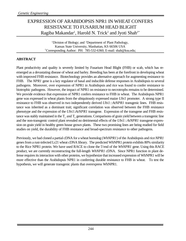# EXPRESSION OF ARABIDOPSIS NPR1 IN WHEAT CONFERS RESISTANCE TO FUSARIUM HEAD BLIGHT Ragiba Makandar<sup>1</sup>, Harold N. Trick<sup>2</sup> and Jyoti Shah<sup>1\*</sup>

<sup>1</sup>Division of Biology; and <sup>2</sup>Department of Plant Pathology, Kansas State University, Manhattan, KS 66506 USA \*Corresponding Author: PH: 785-532-6360; E-mail: shah@ksu.edu;

### **ABSTRACT**

Plant productivity and quality is severely limited by Fusarium Head Blight (FHB) or scab, which has reemerged as a devastating disease of wheat and barley. Breeding has been at the forefront in developing wheat with improved FHB resistance. Biotechnology provides an alternative approach for augmenting resistance to FHB. The *NPR1* gene is a key regulator of basal and inducible defense responses in Arabidopsis to several pathogens. Moreover*,* over expression of NPR1 in Arabidopsis and rice was found to confer resistance to biotrophic pathogens. However, the impact of NPR1 on resistance to necrotrophs remains to be determined. We provide evidence that expression of NPR1 confers resistance to FHB in wheat. The Arabidopsis NPR1 gene was expressed in wheat plants from the ubiquitously expressed maize *Ubi1* promoter. A strong type II resistance to FHB was observed in two independently derived *Ubi1::AtNPR1* transgenic lines. FHB resistance was inherited as a dominant trait; significant correlation was observed between the FHB resistance phenotype and the expression of the *Ubi1*::*AtNPR1* transgene. Expression of the transgene and FHB resistance was stably maintained in the  $T_2$  and  $T_3$  generations. Comparisons of grain yield between a transgenic line and the non-transgenic control plant revealed no detrimental effects of the *Ubi1::AtNPR1* transgene expression on grain yield in healthy green house grown plants. These two promising lines are being readied for field studies on yield, the durability of FHB resistance and broad-spectrum resistance to other pathogens.

Previously, we had cloned a partial cDNA for a wheat homolog (*WhNPR1*) of the Arabidopsis and rice *NPR1* genes from a rust-infected Lr21 wheat cDNA library. The predicted WhNPR1 protein exhibits 80% similarity to the Rice NPR1 protein. We have used RACE to clone the 5'end of the *WhNPR1* gene. Using this RACE product, we are currently reconstructing the full-length *WhNPR1* cDNA. Since NPR1 function in plant defense requires its interaction with other proteins, we hypothesize that increased expression of WhNPR1 will be more effective than the Arabidopsis NPR1 in conferring durable resistance to FHB in wheat. To test the hypothesis, we will generate transgenic plants that overexpress WhNPR1.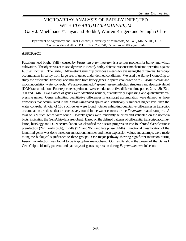# MICROARRAY ANALYSIS OF BARLEY INFECTED WITH *FUSARIUM GRAMINEARUM* Gary J. Muehlbauer<sup>1\*</sup>, Jayanand Boddu<sup>1</sup>, Warren Kruger<sup>1</sup> and Seungho Cho<sup>1</sup>

<sup>1</sup>Department of Agronomy and Plant Genetics, University of Minnesota, St. Paul, MN 55108, USA \*Corresponding Author: PH: (612) 625-6228; E-mail: muehl003@umn.edu

### **ABSTRACT**

Fusarium head blight (FHB), caused by *Fusarium graminearum*, is a serious problem for barley and wheat cultivation. The objectives of this study were to identify barley defense response mechanisms operating against *F. graminearum*. The Barley1 Affymetrix GeneChip provides a means for evaluating the differential transcript accumulation in barley from large sets of genes under defined conditions. We used the Barley1 GeneChip to study the differential transcript accumulation from barley genes in spikes challenged with *F. graminierum* and mock inoculation water controls. We also examined *F. graminearum* infection structures and deoxynivalenol (DON) accumulation. Four replicate experiments were conducted at five different time points, 24h, 48h, 72h, 96h and 144h. Two classes of genes were identified namely, quantitatively expressing and qualitatively expressing genes. Genes exhibiting quantitative differences in transcript accumulation were defined as those transcripts that accumulated in the *Fusarium*-treated spikes at a statistically significant higher level than the water controls. A total of 186 such genes were found. Genes exhibiting qualitative differences in transcript accumulation are those that are exclusively found in the water controls or the *Fusarium* treated samples. A total of 389 such genes were found. Twenty genes were randomly selected and validated on the northern blots, indicating the GeneChip data are robust. Based on the defined patterns of differential transcript accumulation, histology and DON accumulation, we classified the disease progression into four broad classifications: preinfection (24h), early (48h), middle (72h and 96h) and late phase (144h). Functional classification of the identified genes was done based on annotation, number and mean expression values and attempts were made to tag the biological significance to these groups. One major pathway showing significant induction during *Fusarium* infection was found to be tryptophan metabolism. Our results show the power of the Barley1 GeneChip to identify patterns and pathways of genes expression during *F. graminearum* infection.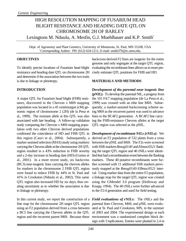### HIGH RESOLUTION MAPPING OF FUSARIUM HEAD BLIGHT RESISTANCE AND HEADING DATE QTL ON CHROMOSOME 2H OF BARLEY Lexingtons M. Nduulu, A. Mesfin, G.J. Muehlbauer and K.P. Smith<sup>\*</sup>

Dept. of Agronomy and Plant Genetics, University of Minnesota, St. Paul, MN 55108, USA \*Corresponding Author: PH: (612) 624-1211; E-mail: smith376@tc.umn.edu.

#### **OBJECTIVES**

To identify precise locations of Fusarium head blight resistance and heading date QTL on chromosome 2H and determine if the association between the two traits is due to linkage or pleiotropy.

### **INTRODUCTION**

A major QTL for Fusarium head blight (FHB) resistance, discovered in the Chevron x M69 mapping population was located in a 45 centimorgan (cM) genomic region of chromosome 2 (2H) (de la Pena et al., 1999). The resistant allele at this QTL was also associated with late heading. A follow-up validation study comparing the Chevron x M69 mapping population with two other Chevron derived populations confirmed the coincidence of HD and FHB QTL in this region (Canci et al., 2004). Subsequently, a marker-assisted selection (MAS) study using markers carrying the Chevron allele at the chromosome 2H QTL region resulted in a 43% reduction in FHB severity and a 2-day increase in heading date (HD) (Gustus et al., 2001). In a more recent study, six backcross (BC3) near-isogenic lines carrying the chevron alleles for markers in the chromosome 2 FHB QTL region were found to reduce FHB by 44% in St. Paul and 41% in Crookston (Nduulu et al., 2002). This same QTL region also increased HD by six days; thus creating uncertainty as to whether the association is due to linkage or pleiotropy.

In this current study, we report the construction of a *Field evaluations of rNILs:* The rNILs and the fine map for the chromosome 2H target QTL region using an F2 population derived from a cross between a BC5 line carrying the Chevron alleles in the QTL region and the recurrent parent M69. Because these

backcross-derived F2 lines are isogenic for the entire genome and only segregate at the target QTL region, evaluating the recombinant lines allows us to more precisely estimate QTL positions for FHB and HD.

### **MATERIALS AND METHODS**

*Development of the parental near isogenic line (pNIL):* To develop the parental NIL, a progeny from the 101 F4:7 mapping population (de La Pena et al., 1999) was crossed with an elite line M69. Subsequently, a marker-assisted backcrossing scheme using M69 as the recurrent parent was used to advance lines to the BC4F2 generation. A BC4F2 line carrying the FHB-resistance Chevron alleles at the target QTL region was selected as the pNIL.

*Development of recombinant NILs (rNILs):* We derived an F2 population of 532 plants from a cross between the pNIL and M69. The F2s were screened with SSR markers *Bmag0140* and *Ebmac0521* flanking the target QTL region and 40 rNILs were identified that had a recombination event between the flanking markers. These 40 putative recombinants were further screened with 11 additional SSR markers previously mapped at the *Bmag0140*-*EBmac0521* interval. Using marker data from the entire F2 population, a linkage map for the target QTL region was created using the GMendel 3.0 program (Holloway and Knapp, 1994). The 40 rNILs were further advanced to the F2:4 generation and used for field testing.

parental lines Chevron, M69, and pNIL were evaluated at St. Paul and Crookston, MN, in the summer of 2003 and 2004. The experimental design at each environment was a randomized complete block design with 3 replications. Entries were planted in 2.4 m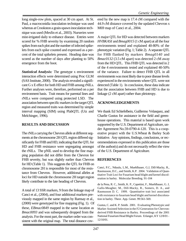long single-row plots, spaced at 30 cm apart. At St. Paul, a macroconidia inoculation technique was used whereas at Crookston a grain-spawn inoculation technique was used (Mesfin et al., 2003). Nurseries were mist-irrigated daily to enhance disease. Entries were scored for % FHB severity by examining 20 random spikes from each plot and the number of infected spikelets from each spike counted and expressed as a percent of the total spikelets present. Heading date was scored as the number of days after planting to 50% emergence from the boot.

*Statistical Analysis:* The genotype x environment interaction effects were determined using Proc GLM (SAS Institute, 2000). The analysis revealed a significant G x E effect for both HD and FHB among rNILs. Further analyses were, therefore, performed on a per environment basis. Trait means for parental lines and rNILs were compared using protected LSD. The association between specific markers in the target QTL region and measured traits was determined by simple interval mapping (SIM) using PlabQTL (Utz and Melchinger, 1996).

### **RESULTS AND DISCUSSION**

The rNILs carrying the Chevron allele at different segments at the chromosome 2H QTL region differed significantly for FHB and HD, indicating that the QTL for HD and FHB resistance were segregating amongst the rNILs. The pNIL used to develop the fine mapping population did not differ from the Chevron for FHB severity, but was slightly earlier than Chevron for HD (Table 1). This suggests the QTL for FHB on chromosome 2H is responsible for most of the resistance from Chevron. However, additional alleles at loci for HD outside the chromosome 2H target region likely contribute to the late heading of Chevron.

A total of 13 SSR markers, 9 from the linkage map of Canci et al., (2004), and four additional markers previously mapped in the same region by Ramsay et al., (2000) were genotyped for fine mapping (Fig. 1). Of these, *EBmac0849* mapped in the same location as *Bmac0093* and was subsequently dropped from the analysis. For the most part, the marker order was consistent with the original map. The total distance cov-

ered by the new map is 17.4 cM compared with the 44.9 cM distance covered by the updated Chevron x M69 map of Canci et al., 2004.

A major QTL for HD was detected between markers *HVBKASI* and *Bmag0015* (1 cM apart) at all the four environments tested and explained 40-80% of the phenotypic variation (Fig. 1; Table 2). A separate QTL for FHB flanked by markers *Bmag0140* and *Bmac0132* (3.5 cM apart) was detected 2 cM away from the HD QTL. This FHB QTL was detected in 2 of the 4 environments tested and explained 40-50% of the variance. Failure to detect FHB QTL in all environments was most likely due to poor disease levels experienced in the environments where QTL were not detected (Table 1). In conclusion, these data indicate that the association between FHB and HD is due to linkage (2 cM apart) rather than pleiotropy.

### **ACKNOWLEDGEMENTS**

We thank Ed Schiefelbein, Guillermo Velasquez, and Charlie Gustus for assistance in the field and greenhouse operations. This material is based upon work supported by the U.S. Department of Agriculture, under Agreement No.59-0790-4-120. This is a cooperative project with the U.S.Wheat & Barley Scab Initiative. Any opinions, findings, conclusions, or recommendations expressed in this publication are those of the author(s) and do not necessarily reflect the view of the U.S. Department of Agriculture.

### **REFERENCES**

Canci, P.C., Nduulu, L.M., Muehlbauer, G.J, Dill-Macky, R., Rasmusson, D.C., and Smith, K.P. 2004. Validation of Quantitative Trait Loci for Fusarium head blight and kernel discoloration in barley. Molecular Breeding. 91-104

de la Pena, R. C., Smith, K. P., Capettini, F., Muehlbauer, G. J, Gallo-Meagher, M., Dill-Macky, R., Somers, D. A., and Rasmusson D. C. 1999. Quantitative trait loci associated with resistance to fusarium head blight and kernel discoloration in barley. Theor. App. Genet. 99:561-569.

Gustus, C. and K. P. Smith. 2001. Evaluating Phenotypic and Marker Assisted Selection in the F2 Generation for Chevronderived FHB Resistance in Barley. Proceedings of the 2001 National Fusarium Head Blight Forum. Erlanger, KY 12/8/01 - 12/10/01.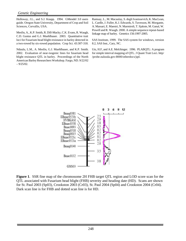Holloway, J.L., and S.J. Knapp. 1994. GMendel 3.0 users guide. Oregon State University, Department of Crop and Soil Sciences, Corvallis, USA.

Mesfin, A., K.P. Smith, R. Dill-Macky, C.K. Evans, R. Waugh, C.D. Gustus and G.J. Muehlbauer. 2003. Quantitative trait loci for Fusarium head blight resistance in barley detected in a two-rowed by six-rowed population. Crop Sci. 43:307-318.

Nduulu, L.M., A. Mesfin, G.J. Muehlbauer, and K.P. Smith. 2002. Evaluation of near-isogenic lines for fusarium head blight resistance QTL in barley. Proceedings of the North American Barley Researchers Workshop. Fargo, ND. 9/22/02  $-9/25/02$ .

Ramsay, L., M. Macaulay, S. degli Ivanissevich, K. MacLean, L. Cardle, J. Fuller, K.J. Edwards, S. Tuvesson, M. Morgante, A. Massari, E. Maestri, N. Marmiroli, T. Sjakste, M. Ganal, W. Powell and R. Waugh. 2000. A simple sequence repeat-based linkage map of barley. Genetics 156:1997-2005.

SAS Institute, 1999. The SAS system for windows, version 8.2, SAS Inst., Cary, NC.

Utz, H.F, and A.E. Melchinger. 1996. PLABQTL: A program for simple interval mapping of QTL. J Quant Trait Loci. http/ /probe.nalusda.gov:8000/otherdocs/jqtl.



**Figure 1**. SSR fine map of the chromosome 2H FHB target QTL region and LOD score scan for the QTL associated with Fusarium head blight (FHB) severity and heading date (HD). Scans are shown for St. Paul 2003 (Sp03), Crookston 2003 (Cr03), St. Paul 2004 (Sp04) and Crookston 2004 (Cr04). Dark scan line is for FHB and dotted scan line is for HD.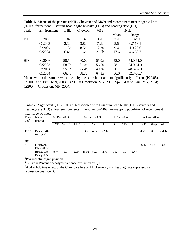| Trait      | Environment | pNIL  | Chevron | M69               | rNIL |              |
|------------|-------------|-------|---------|-------------------|------|--------------|
|            |             |       |         |                   | Mean | Range        |
| <b>FHB</b> | Sp2003      | 1.8a  | 1.3a    | 3.7 <sub>b</sub>  | 2.4  | $1.0 - 4.4$  |
|            | Cr2003      | 2.3a  | 3.8a    | 7.2 <sub>b</sub>  | 5.5  | $0.7 - 13.1$ |
|            | Sp2004      | 11.3a | 8.5a    | 12.3a             | 9.4  | $1.9 - 20.6$ |
|            | Cr2004      | 6.6a  | 1.6a    | 21.5 <sub>b</sub> | 17.6 | $4.6 - 59.7$ |
| HD         | Sp2003      | 58.5b | 60.0c   | 55.0a             | 58.0 | 54.0-61.0    |
|            | Cr2003      | 58.5b | 61.0c   | 56.5a             | 58.1 | 54.0-61.0    |
|            | Sp2004      | 55.0b | 55.7b   | 49.3a             | 56.7 | 48.3-57.0    |
|            | Cr2004      | 66.7b | 68.7c   | 64.3a             | 66.0 | 62.3-68.7    |

**Table 1.** Means of the parents (pNIL, Chevron and M69) and recombinant near isogenic lines (rNILs) for percent Fusarium head blight severity (FHB) and heading date (HD).

Means within the same row followed by the same letter are not significantly different (P?0.05). Sp2003 = St. Paul, MN, 2003; Cr2003 = Crookston, MN, 2003; Sp2004 = St. Paul, MN, 2004;  $Cr2004 = Crookston, MN, 2004.$ 

**Table 2.** Significant QTL (LOD>3.0) associated with Fusarium head blight (FHB) severity and heading date (HD) at four environments in the Chevron/M69 fine mapping population of recombinant near isogenic lines.

| Trait/<br>Pos <sup>1</sup> | Marker<br>interval | <b>St. Paul 2003</b> |                   | Crookston 2003 |            | <b>St. Paul 2004</b> |         |            | Crookston 2004 |      |            |      |          |
|----------------------------|--------------------|----------------------|-------------------|----------------|------------|----------------------|---------|------------|----------------|------|------------|------|----------|
|                            |                    | <b>LOD</b>           | %Exp <sup>2</sup> | $Add^3$        | <b>LOD</b> | %Exp                 | Add     | <b>LOD</b> | %Exp           | Add  | <b>LOD</b> | %Exp | Add      |
| <b>FHB</b>                 |                    |                      |                   |                |            |                      |         |            |                |      |            |      |          |
| 11,13                      | $Bmag0140-$        |                      |                   |                | 3.43       | 43.2                 | $-2.82$ |            |                |      | 4.21       | 50.0 | $-14.37$ |
|                            | Bmac132            |                      |                   |                |            |                      |         |            |                |      |            |      |          |
|                            |                    |                      |                   |                |            |                      |         |            |                |      |            |      |          |
| HD                         |                    |                      |                   |                |            |                      |         |            |                |      |            |      |          |
| 6                          | <b>HVBKASI-</b>    |                      |                   |                |            |                      |         |            |                |      | 3.05       | 44.3 | 1.63     |
|                            | EBmac0558          |                      |                   |                |            |                      |         |            |                |      |            |      |          |
| 7                          | $Bmag0518-$        | 8.74                 | 76.3              | 2.59           | 10.02      | 80.8                 | 2.75    | 9.62       | 79.5           | 3.47 |            |      |          |
|                            | <b>B</b> mag0015   |                      |                   |                |            |                      |         |            |                |      |            |      |          |

 ${}^{1}P$ os = centimorgan position.

 $^{2}\%$  Exp = Percent phenotypic variance explained by QTL.

 $3$ Add = Additive effect of the Chevron allele on FHB severity and heading date expressed as regression coefficient.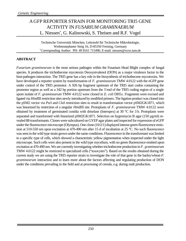# A GFP REPORTER STRAIN FOR MONITORING TRI5 GENE ACTIVITY IN *FUSARIUM GRAMINAERUM* L. Niessen\* , G. Kalinowski, S. Theisen and R.F. Vogel

Technische Universität München, Lehrstuhl für Technische Mikrobiologie, Weihenstephaner Steig 16, D-85350 Freising, Germany \*Corresponding Author: PH: 49 8161 715496; E-mail: niessen@wzw.tum.de

### **ABSTRACT**

*Fusarium graminearum* is the most serious pathogen within the Fusarium Head Blight complex of fungal species. It produces the trichothecene mycotoxin Deoxynivalenol (DON) as a major virulence factor in the host-pathogen interaction. The TRI5 gene has a key role in the biosynthesis of trichothecene mycotoxins. We have developed a reporter system by transformation of *F. graminearum* TMW 4.0122 with the eGFP gene under control of the TRI5 promotor. A 926 bp fragment upstream of the TRI5 start codon containing the promotor region as well as a 342 bp portion upstream from the 3´end of the TRI5 coding region of a single spore isolate of *F. graminearum* TMW 4.0122 were cloned in *E. coli* DH5 $\pm$ . Fragments were excised and ligated via *Hin*dIII restriction sites newly introduced by modified primers. The ligation product was cloned into the pSM2 vector via *Pst*I and *Cla*I restriction sites to result in transformation vector pSM2GK1871, which was linearized by restriction of a singular *Hin*dIII site. Protoplasts of *F. graminearum* TMW 4.0122 were obtained by treatment of germinated conidia with driselase (Interspex) at 30 °C for 3 h. Protoplasts were separated and transformed with linearized pSM2GK1871. Selection on hygromycin B agar (150 µg/ml) revealed 88 transformants. Clones were subcultured on GYEP agar plates and inspected for expression of eGFP under the fluorescence microscope (Olympus). One clone (10/2/1) displayed intense green fluorescence emission at 510-550 nm upon excitation at 470-490 nm after 15 d of incubation at 25 °C. No such fluorescence was seen in the wild type strain grown under the same conditions. Fluorescence in the transformant was limited to a specific type of cells, which showed a characteristic yellow pigmentation when inspected under the light microscope. Such cells were also present in the wild type mycelium, with no green fluorescence emitted upon excitation at 470-490 nm. We are currently investigating whether trichothecene production in *F. graminearum* TMW 4.0122 might be restricted to specialized cells ("toxocytes"). Based on the results obtained during the current study we are using the TRI5 reporter strain to investigate the role of that gene in the barley/wheat-*F. graminearum* interaction and to learn more about the factors affecting and regulating production of DON under the conditions prevailing in the field and at processing of cereals, e.g. during malt production.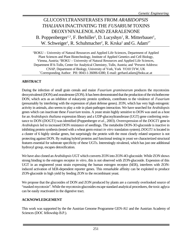# GLUCOSYLTRANSFERASES FROM *ARABIDOPSIS THALIANA* INACTIVATING THE *FUSARIUM* TOXINS DEOXYNIVALENOLAND ZEARALENONE B. Poppenberger<sup>1,3</sup>, F. Berhiller<sup>2</sup>, D. Lucyshyn<sup>1</sup>, R. Mitterbauer<sup>1</sup>, W. Schweiger<sup>1</sup>, R. Schuhmacher<sup>2</sup>, R. Krska<sup>2</sup> and G. Adam<sup>1\*</sup>

<sup>1</sup>BOKU – University of Natural Resources and Applied Life Sciences, Department of Applied Plant Sciences and Plant Biotechnology, Institute of Applied Genetics and Cell Biology, Vienna, Austria; <sup>2</sup>BOKU – University of Natural Resources and Applied Life Sciences, Department IFA-Tulln, Center for Analytical Chemistry, Tulln, Austria; and <sup>3</sup>Present Address: CNAP, Department of Biology, University of York, York YO10 5YW, UK \*Corresponding Author: PH: 0043-1-36006-6380; E-mail: gerhard.adam@boku.ac.at

### **ABSTRACT**

During the infection of small grain cereals and maize *Fusarium graminearum* produces the mycotoxins deoxynivalenol (DON) and zearalenone (ZON). It has been demonstrated that the production of the trichothecene DON, which acts as an inhibitor of eukaryotic protein synthesis, contributes to the virulence of *Fusarium* (presumably by interfering with the expression of plant defense genes). ZON, which has very high estrogenic activity in animals, also seems to play a role in plant-pathogen interaction. We have searched for *Arabidopsis* genes which can inactivate these *Fusarium* toxins. A yeast strain highly sensitive to DON was used as a host for an *Arabidopsis thaliana* expression library and a UDP-glucosyltransferase (UGT) gene conferring resistance to DON (*DOGT1*) was identified (Poppenberger *et al.*, 2003). Overexpression of the *DOGT1* gene in *Arabidopsis* led to increased DON resistance of seedlings. The metabolite DON-3O-glucoside is inactive in inhibiting protein synthesis (tested with a wheat germ extract *in vitro* translation system). *DOGT1* is located in a cluster of 6 highly similar genes, but surprisingly the protein with the most closely related sequence is not protecting against DON. By making hybrid proteins and functional testing in yeast we characterized structural features essential for substrate specificity of these UGTs. Interestingly nivalenol, which has just one additional hydroxyl group, escapes detoxification.

We have also cloned an *Arabidopsis* UGT which converts ZON into ZON-4O-glucoside. While ZON shows strong binding to the estrogen receptor *in vitro*, this is not observed with ZON-glucoside. Expession of this UGT in an engineered yeast strain expressing the human estrogen receptor (hER), interferes with ZONinduced activation of hER-dependent reporter genes. This remarkable affinity can be exploited to produce ZON-glucoside in high yield by feeding ZON to the recombinant yeast.

We propose that the glucosides of DON and ZON produced by plants are a currently overlooked source of "masked mycotoxin". While the mycotoxin-glucosides escape standard analytical procedures, the toxic aglyca can be easily reactivated in the digestive tract.

### **ACKNOWLEDGEMENT**

This work was supported by the the Austrian Genome Programme GEN-AU and the Austrian Academy of Sciences (DOC fellowship B.P.).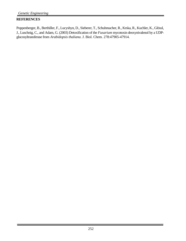### **REFERENCES**

Poppenberger, B., Berthiller, F., Lucyshyn, D., Sieberer, T., Schuhmacher, R., Krska, R., Kuchler, K., Glössl, J., Luschnig, C., and Adam, G. (2003) Detoxification of the *Fusarium* mycotoxin deoxynivalenol by a UDPglucosyltransferase from *Arabidopsis thaliana*. J. Biol. Chem. 278:47905-47914.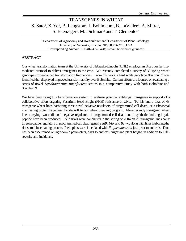### TRANSGENES IN WHEAT S. Sato<sup>1</sup>, X. Ye<sup>1</sup>, B. Langston<sup>2</sup>, J. Bohlmann<sup>1</sup>, B. LaVallee<sup>1</sup>, A. Mitra<sup>1</sup>, S. Baenziger<sup>1</sup>, M. Dickman<sup>2</sup> and T. Clemente<sup>1\*</sup>

<sup>1</sup>Department of Agronomy and Horticulture; and <sup>2</sup>Department of Plant Pathology, University of Nebraska, Lincoln, NE, 68503-0915, USA \*Corresponding Author: PH: 402-472-1428; E-mail: tclemente1@unl.edu

#### **ABSTRACT**

Our wheat transformation team at the University of Nebraska-Lincoln (UNL) employs an *Agrobacterium*mediated protocol to deliver transgenes to the crop. We recently completed a survey of 30 spring wheat genotypes for enhanced transformation frequencies. From this work a hard white genotype Xin chun 9 was identified that displayed improved transformability over Bobwhite. Current efforts are focused on evaluating a series of novel *Agrobacterium tumefaciens* strains in a comparative study with both Bobwhite and Xin chun 9.

We have been using this transformation system to evaluate potential antifungal transgenes in support of a collaborative effort targeting Fusarium Head Blight (FHB) resistance at UNL. To this end a total of 48 transgenic wheat lines harboring three novel negative regulators of programmed cell death, or a ribosomal inactivating protein have been handed-off to our wheat breeding program. More recently transgenic wheat lines carrying two additional negative regulators of programmed cell death and a synthetic antifungal lytic peptide have been produced. Field trials were conducted in the spring of 2004 on 28 transgenic lines carry three negative regulators of programmed cell death genes, *ced9*, *IAP* and *Bcl-xl*, along with lines harboring the ribosomal inactivating protein. Field plots were inoculated with *F. garminearum* just prior to anthesis. Data has been ascertained on agronomic parameters, days to anthesis, vigor and plant height, in addition to FHB severity and incidence.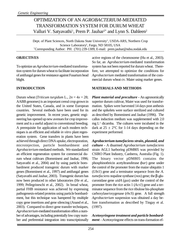### OPTIMIZATION OF AN *AGROBACTERIUM*-MEDIATED TRANSFORMATION SYSTEM FOR DURUM WHEAT Valluri V. Satyavathi<sup>1</sup>, Prem P. Jauhar<sup>2\*</sup> and Lynn S. Dahleen<sup>2</sup>

Dept. of Plant Sciences, North Dakota State University<sup>1</sup>, USDA-ARS, Northern Crop Science Laboratory<sup>2</sup>, Fargo, ND 58105, USA \*Corresponding Author: PH: (701) 239-1309; E-mail: prem.jauhar@ndsu.nodak.edu

#### **OBJECTIVES**

To optimize an *Agrobacterium*-mediated transformation system for durum wheat to facilitate incorporation of antifungal genes for resistance against Fusarium head blight.

### **INTRODUCTION**

Durum wheat (*Triticum turgidum* L.,  $2n = 4x = 28$ ; AABB genomes) is an important cereal crop grown in the United States, Canada, and in some European countries. Several methods have been used for its genetic improvement. In recent years, genetic engineering has opened up new avenues for crop improvement and is a useful adjunct to conventional breeding. A prerequisite for application of such modern techniques is an efficient and reliable *in vitro* plant regeneration system. Gene transfers in plants have been achieved through direct DNA uptake, electroporation, microinjection, particle bombardment and *Agrobacterium*-mediated methods. We standardized an efficient regeneration system for commercial durum wheat cultivars (Bommineni and Jauhar, 1996; Satyavathi et al., 2004) and by using particle bombardment produced transgenic durum with marker genes (Bommineni et al., 1997) and antifungal genes (Satyavathi and Jauhar, 2003). Transgenic durum has now been produced in other laboratories (He et al., 1999; Pellegrineschi et al., 2002). In bread wheat, partial FHB resistance was achieved by expressing pathogenesis-related proteins using particle bombardment, but this technique was hampered by multiple copy gene insertions and gene silencing (Anand et al., 2003). Compared to direct gene transfer techniques, *Agrobacterium*-mediated transformation offers a number of advantages, including potentially low copy number and preferential integration into transcriptionally

active regions of the chromosome (Hu et al., 2003). So far, an *Agrobacterium*-mediated transformation system has not been reported for durum wheat. Therefore, we attempted to optimize the conditions for *Agrobacterium* mediated transformation of the commercial durum wheat cv. Maier using marker genes.

#### **MATERIALS AND METHODS**

*Plant material and preculture* **-** An agronomically superior durum cultivar, Maier was used for transformation. Spikes were harvested 14 days post anthesis and the spikelets were surface sterilized and cultured as described by Bommineni and Jauhar (1996). The callus induction medium was supplemented with 2.0  $mg L<sup>-1</sup>$  dicamba. The cultures were incubated in the dark at  $25 \pm 2$ °C for 1-14 days depending on the experiment performed.

*Agrobacterium tumefaciens strain, plasmid, and culture* **-** A disarmed *Agrobacterium tumefaciens* strain AGL1 harboring pDM805 was provided by CSIRO Plant Industry, Canberra, Australia (Fig. 1). The binary vector pDM805 contains the phosphinothricin acetyltransferase (*bar*) gene under the control of the promoter from the maize ubiquitin 1 (*Ubi1*) gene and a terminator sequence from the *A. tumefaciens* nopaline synthase (*nos*) gene; the β-glucuronidase gene *uidA* (*gus*) under the control of the promoter from the rice actin 1 (*Act1*) gene and a terminator sequence from the rice ribulose bis-phosphate carboxylase/oxygenase (*rbcS*) gene. A full strength *Agrobacterium* suspension was obtained a day before transformation as described by Tingay et al. (1997).

*Acetosyringone treatment and particle bombardment* - Acetosyringone effects on trans-formation ef-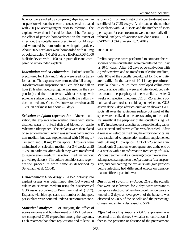ficiency were studied by comparing *Agrobacterium* suspension without the chemical to suspension treated with 200 μM acetosyringone prior to infection. The explants were then infected for about 1 h. To study the effect of particle bombardment on the extent of infection, the scutella were precultured for 14 days and wounded by bombardment with gold particles. About 30-50 explants were bombarded with 0.3 mg of gold particles (1.0 μM) using a BioRad PDS-1000 biolistic device with 1,100 psi rupture disc and compared to unwounded explants.

*Inoculation and co-cultivation* **-** Isolated scutella precultured for 1 day and 14 days were used for transformation. The explants were immersed in full strength *Agrobacterium* suspension in a Petri dish for half an hour (1 h when acetosyringone was used in the suspension) and then transferred without rinsing, with scutellar surface placed in contact with the callus induction medium. Co-cultivation was carried out at 25  $\pm$  2°C in darkness for about 2-3 days.

*Selection and plant regeneration* **-** After co-cultivation, the explants were washed thrice with sterile distilled water in a Petri dish and blotted on sterile Whatman filter paper. The explants were then plated on selection medium, which was same as callus induction medium but was supplemented with  $150 \text{ mg } L<sup>1</sup>$ Timentin and  $5.0 \text{ mg } L^1$  bialaphos. Explants were maintained on selection medium for 3-4 weeks at 25  $\pm 2^{\circ}$ C in darkness, after which they were transferred to regeneration medium (selection medium without growth regulators). The culture conditions and regeneration procedure were same as described by Satyavathi et al. (2004).

*Histochemical GUS assay* **-** T-DNA delivery into explant tissues was determined after 1-3 weeks of culture on selection medium using the histochemical GUS assay according to Bommineni et al. (1997). Explants with blue spots and the number of blue spots per explant were counted under a stereomicroscope.

*Statistical analyses* **-** For studying the effect of acetosyringone and bombardment on DNA delivery, we compared GUS expression among the explants. Each treatment had three replications and at least 50

explants (4 from each Petri dish) per treatment were sacrificed for GUS assays. As the data on the number of explants with GUS spots and the number of spots per explant for each treatment were not normally distributed, analysis of variance was done using PROC CATMOD (SAS version 8.2, 2001).

### **RESULTS**

Preliminary tests were performed to compare the responses of the scutella that were precultured for 1 day vs 10-14 days. After 1-2 days of co-cultivation with *Agrobacterium* and on transfer to selection medium, only 10% of the scutella precultured for 1-day initiated calli. In the case of 10-14 day precultured scutella, about 70% of them developed callus over the cut surface within a week and later developed callus around the periphery of the scutellum. After 3 weeks on selection medium, 511 of 725 scutella cocultivated were resistant to bialaphos selection. GUS assays done 7 days after co-cultivation showed GUS spots all over the scutellum surface but most of the spots were localized on the areas starting to form callus, usually at the periphery of the scutellum (Fig. 2A  $\&$  B). In subsequent subcultures, the proliferating callus was selected and brown callus was discarded. After 4 weeks on selection medium, the embryogenic callus was transferred to regeneration medium supplemented with 5.0 mg  $L^1$  bialaphos. Out of 725 scutella infected, only 3 plantlets were regenerated at the end of 3-4 weeks with a transformation frequency of 0.4%. Various treatments like increasing co-culture duration, adding acetosyringone in the *Agrobacterium* suspension, and bombarding the explants with gold particles before infection, had differential effects on transformation efficiency as follows:

*Duration of co-culture* - About 82% of the scutella that were co-cultivated for 2 days were resistant to bialaphos selection. When the co-cultivation was extended to 3 days, an overgrowth of the bacteria was observed on 50% of the scutella and the percentage of resistant scutella decreased to 56%.

*Effect of acetosyringone* **-** GUS expression was detected in all the tissues 3 wk after co-cultivation either in the presence or absence of the pretreatment.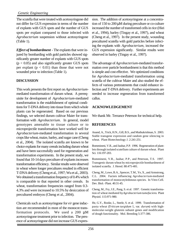The scutella that were treated with acetosyringone did not differ for GUS expression in terms of the number of explants with GUS spots and the number of GUS spots per explant compared to those infected with *Agrobacterium* suspension without acetosyringone (Table 1).

*Effect of bombardment* **-** The explants that were injured by bombarding with gold particles showed significantly greater number of explants with GUS spots  $(p < 0.05)$  and also significantly greater GUS spots per explant  $(p < 0.01)$  than those that were not wounded prior to infection (Table 1).

### **DISCUSSION**

This work presents the first report on *Agrobacterium*mediated transformation of durum wheat. A prerequisite for development of *Agrobacterium*-mediated transformation is the establishment of optimal conditions for T-DNA delivery into tissue from which whole plants can be regenerated. Based on our previous findings, we selected durum cultivar Maier for transformation with *Agrobacterium*. In general, model genotypes amenable to tissue culture or to microprojectile transformation have worked well for *Agrobacterium*-mediated transformation in several crops like wheat, maize, barley, and sugar cane (Cheng et al., 2004). The isolated scutella are known to be choice explants for many cereals including durum wheat and have been successfully used for regeneration and transformation experiments. In the present study, we found that 10-14 days preculture of explants increases transformation efficiency. Similar results were observed in wheat where longer precultures resulted in efficient T-DNA delivery (Cheng et al., 1997; Wu et al., 2003). We obtained a transformation frequency of 0.4% which is comparable to that reported in other cereals. In wheat, transformation frequencies ranged from 0.3- 4.3% and were increased to 10.5% by desiccation of precultured embryos (Cheng et al., 2004).

Chemicals such as acetosyringone for *vir* gene induction are recommended in most of the monocot transformation protocols. We used a 200 μM acetosyringone treatment prior to infection. The presence of acetosyringone did not increase GUS expression. The addition of acetosyringone at a concentration of 150 to 200 μM during preculture or co-culture increased the number of transformed cells in rice (Hiei et al., 1994), barley (Tingay et al., 1997), and wheat (Cheng et al., 1997). In the present study, wounding precultured scutella with gold particles before infecting the explants with *Agrobacterium*, increased the GUS expression significantly. Similar results were observed in barley (Tingay et al., 1997).

The advantage of *Agrobacterium*-mediated transformation over particle bombardment is that this method is simple and cost effective. We optimized conditions for *Agrobacterium*-mediated transformation using scutella of the cultivar Maier and also studied the effects of various pretreatments that could enhance infection and T-DNA delivery. Further experiments are needed to increase regeneration from transformed callus.

### **ACKNOWLEDGEMENT**

We thank Mr. Terrance Peterson for technical help.

### **REFERENCES**

Anand, A., Trick, H.N., Gill, B.S., and Muthukrishnan, S. 2003. Stable transgene expression and random gene silencing in wheat. Plant Biotechnology J. 2:241-251.

Bommineni, V.R., and Jauhar, P.P. 1996. Regeneration of plantlets through isolated scutellum culture of durum wheat. Plant Sci. 116:197-203.

Bommineni, V.R., Jauhar, P.P., and Peterson, T.S. 1997. Transgenic durum wheat by microprojectile bombardment of isolated scutella. J. Hered. 88:475-481.

Cheng, M., Lowe, B.A., Spencer, T.M., Ye, X., and Armstrong, C.L. 2004. Factors influencing *Agrobacterium*-mediated transformation of monocotyledonous species. In Vitro Cell. Dev. Biol.- Plant. 40:31-45.

Cheng, M., Fry, J.E., Pang, S. et al. 1997. Genetic transformation of wheat mediated by *Agrobacterium tumefaciens*. Plant Physiol. 115:971-980.

He, G.Y., Rooke, L., Steele, S. et al. 1999. Transformation of pasta wheat (*Triticum turgidum* L. var. *durum*) with highmolecular-weight glutenin subunit genes and modification of dough functionality. Mol. Breeding 5:377-386.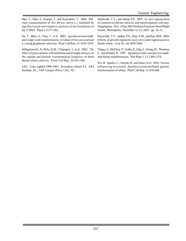Hiei, Y., Ohta, S., Komari, T., and Kumashiro, T. 1994. Efficient transformation of rice (*Oryza sativa* L.) mediated by *Agrobacterium* and sequence analysis of the boundaries of the T-DNA. Plant J. 6:271-282.

Hu, T., Metz, S., Chay, C. et al. 2003. *Agrobacterium*-mediated large-scale transformation of wheat (*Triticum aestivum* L.) using glyphosate selection. Plant Cell Rep. 21:1010-1019.

Pellegrineschi, A., Brito, R.M., Velazquez, L. et al. 2002. The effect of pretreatment with mild heat and drought stresses on the explant and biolistic transformation frequency of three durum wheat cultivars. *Plant Cell Rep. 20:955-960.*

SAS. Copy righted 1999-2001. Procedure release 8.2. SAS Institute, Inc., SAS Campus Drive, Cary, NC.

Satyavathi, V.V., and Jauhar, P.P. 2003. *In vitro* regeneration of commercial durum cultivars and transformation with antifungal genes. Proc. of the 2003 National Fusarium Head Blight Forum, Minneapolis, December 12-15, 2003. pp. 32-35.

Satyavathi, V.V., Jauhar, P.P., Elias, E.M., and Rao, M.B. 2004. Effects of growth regulators on *in vitro* plant regeneration in durum wheat. Crop Sci. 44:1839-1846.

Tingay, S., McElroy, D., Kalla, R., Fieg, S., Wang, M., Thornton, S., and Brettell, R. 1997. *Agrobacterium tumefaciens*-mediated barley transformation. The Plant J. 11:1369-1376.

Wu, H., Sparks, C., Amoah, B., and Jones, H.D. 2003. Factors influencing successful *Agrobacterium*-mediated genetic transformation of wheat. Plant Cell Rep. 21:659-668.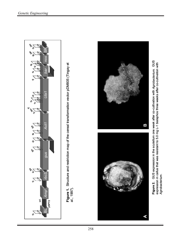

Figure 2. GUS expression in the scutellum one week after co-cultivation with Agroba*cterium*. GUS<br>expression in callus that was resistant to 5.0 mg L-1 bialaphos three weeks after co-cultivation with<br>Agrobacterium. expression in callus that was resistant to 5.0 mg L-1 bialaphos three weeks after co-cultivation with *Agrobacterium*.

 $\blacktriangleleft$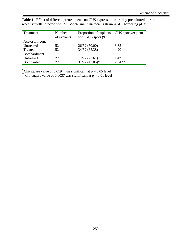| Treatment      | Number<br>of explants | Proportion of explants<br>with GUS spots $(\%)$ | GUS spots / explant |
|----------------|-----------------------|-------------------------------------------------|---------------------|
| Acetosyringone |                       |                                                 |                     |
| Untreated      | 52                    | 26/52(50.00)                                    | 3.35                |
| Treated        | 52                    | 34/52 (65.38)                                   | 4.20                |
| Bombardment    |                       |                                                 |                     |
| Untreated      | 72                    | 17/72(23.61)                                    | 1.47                |
| Bombarded      | 72                    | $31/72$ (43.05)*                                | $2.54$ **           |

**Table 1**. Effect of different pretreatments on GUS expression in 14-day precultured durum wheat scutella infected with *Agrobacterium tumefaciens* strain AGL1 harboring pDM805.

<sup>\*</sup> Chi-square value of 0.0194 was significant at  $p = 0.05$  level

\*\* Chi-square value of 0.0037 was significant at  $p = 0.01$  level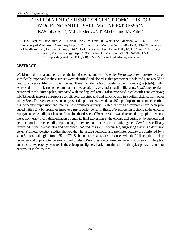# DEVELOPMENT OF TISSUE-SPECIFIC PROMOTERS FOR TARGETING ANTI-FUSARIUM GENE EXPRESSION R.W. Skadsen<sup>1\*</sup>, M.L. Federico<sup>2</sup>, T. Abebe<sup>3</sup> and M. Patel<sup>4</sup>

<sup>1</sup>U.S. Dept. of Agriculture, ARS, Cereal Crops Res. Unit, 501 Walnut St., Madison, WI 53711, USA; <sup>2</sup>University of Wisconsin, Agronomy Dept., 1575 Linden Dr., Madison, WI 53706-1590, USA; <sup>3</sup>University of Northern Iowa, Dept. of Biology, 144 McCollum Science Hall, Cedar Falls, IA, USA; and <sup>4</sup>University of Wisconsin, Plant Pathology Dept., 1630 Linden Dr., Madison, WI 53706-1589, USA \*Corresponding Author: PH: (608)262-3672; E-mail: rskadsen@wisc.edu

### **ABSTRACT**

We identified lemma and pericarp epithelium tissues as rapidly infected by *Fusarium graminearum*. Genes specifically expressed in these tissues were identified and cloned so that promoters of selected genes could be used to express antifungal protein genes. These included a lipid transfer protein homologue (*Ltp6*), highly expressed in the pericarp epithelium but not in vegetative leaves, and a jacaline-like gene, *Lem2*, preferentially expressed in the lemma/palea, compared with the flag leaf. *Ltp6* is also expressed in coleoptiles and embryos; mRNA levels increase in response to salt, cold, abscisic acid and salicylic acid in a pattern distinct from other barley *Ltp*s. Transient expression analysis of the promoter showed that 192 bp of upstream sequence confers tissue-specific expression and retains most promoter activity. Stable barley transformants have been produced with a 247 bp promoter fused to a *gfp* reporter gene. In these, *gfp* expression is strong in the epicarp, embryo and coleoptile, but it is not found in other tissues. *Gfp* expression was detected during spike development, from early ovary differentiation through its final expression in the epicarp and during embyogenesis and germination in the coleoptile, reproducing the expression pattern of the native gene. *Lem2* is specifically expressed in the lemma/palea and coleoptile. SA induces *Lem2* within 4 h, suggesting that it is a defensive gene. Promoter deletion studies showed that the tissue-specificity and promoter activity are conferred by a short 5' proximal region from -75 to +70. Stable transformants were produced with the "full-length" 1414 bp promoter and 5' promoter deletions fused to *gfp*. G*fp* expression occurred in the lemma/palea and coleoptile, but it also unexpectedly occurred in the epicarp and ligules. Lack of methylation in the epicarp may account for expression in the epicarp.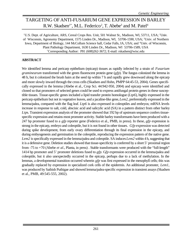# TARGETING OF ANTI-FUSARIUM GENE EXPRESSION IN BARLEY R.W. Skadsen<sup>1\*</sup>, M.L. Federico<sup>2</sup>, T. Abebe<sup>3</sup> and M. Patel<sup>4</sup>

<sup>1</sup>U.S. Dept. of Agriculture, ARS, Cereal Crops Res. Unit, 501 Walnut St., Madison, WI, 53711, USA; <sup>2</sup>Univ. of Wisconsin, Agronomy Department, 1575 Linden Dr., Madison, WI, 53706-1590, USA; <sup>3</sup>Univ. of Northern Iowa, Department of Biology, 144 McCollum Science hall, Cedar Falls, IA, USA; and <sup>4</sup>Univ. of Wisconsin, Plant Pathology Department, 1630 Linden Dr., Madison, WI 53706-1589, USA \*Corresponding Author: PH: (608)262-3672; E-mail: rskadsen@wisc.edu

#### **ABSTRACT**

We identified lemma and pericarp epithelium (epicarp) tissues as rapidly infected by a strain of *Fusarium graminearum* transformed with the green fluorescent protein gene (*gfp*). The fungus colonized the lemma in 48 h, but it colonized the brush hairs at the seed tip within 7 h and rapidly grew downward along the epicarp and more slowly inward through the cross cells (Skadsen and Hohn, PMPP 64:45-53, 2004). Genes specifically expressed in the lemma (Abebe et al., Crop Sci. 44:942-950, 2004) and epicarp were identified and cloned so that promoters of selected genes could be used to express antifungal protein genes in these susceptible tissues. Tissue-specific genes included a lipid transfer protein homologue (*Ltp6*), highly expressed in the pericarp epithelium but not in vegetative leaves, and a jacaline-like gene, *Lem2*, preferentially expressed in the lemma/palea, compared with the flag leaf. *Ltp6* is also expressed in coleoptiles and embryos; mRNA levels increase in response to salt, cold, abscisic acid and salicylic acid (SA) in a pattern distinct from other barley *Ltp*s. Transient expression analysis of the promoter showed that 192 bp of upstream sequence confers tissuespecific expression and retains most promoter activity. Stable barley transformants have been produced with a 247 bp promoter fused to a *gfp* reporter gene (Federico et al., PMB, in press). In these, *gfp* expression is strong in the epicarp, embryo and coleoptile, but it is not found in other tissues. *Gfp* expression was detected during spike development, from early ovary differentiation through its final expression in the epicarp, and during embyogenesis and germination in the coleoptile, reproducing the expression pattern of the native gene. *Lem2* is specifically expressed in the lemma/palea and coleoptile. SA induces *Lem2* within 4 h, suggesting that it is a defensive gene. Deletion studies showed that tissue-specificity is conferred by a short 5' proximal region from -75 to +70 (Abebe *et al*., Planta, in press) . Stable transformants were produced with the "full-length" 1414 bp promoter and 5' promoter deletions fused to *gfp*. G*fp* expression occurred in the lemma/palea and coleoptile, but it also unexpectedly occurred in the epicarp, perhaps due to a lack of methylation. In the lemmas, a developmental transition occurred wherein *gfp* was first expressed in the mesophyll cells; this was gradually replaced by expression in specialized cork cells of the epidermis. An additional promoter, *Lem1*, was produced by Sathish Puthigae and showed lemma/palea-specific expression in transient assays (Skadsen et al., PMB, 49:545-555, 2002).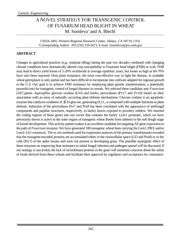# A NOVEL STRATEGY FOR TRANSGENIC CONTROL OF FUSARIUM HEAD BLIGHT IN WHEAT M. Somleva\* and A. Blechl

USDA-ARS, Western Regional Research Center, Albany, CA 94710, USA \*Corresponding Author: PH (510) 559-5673; E-mail: msomleva@pw.usda.gov

### **ABSTRACT**

Changes in agricultural practices (e.g., minimal tilling) during the past two decades combined with changing climate conditions have dramatically altered crop susceptibility to Fusarium head blight (FHB) or scab. FHB may lead to direct yield losses of 5-20% worldwide in average epidemic years, but losses as high as 60-70% have also been reported. Host plant resistance, the most cost-effective way to fight the disease, in available wheat germplasm is only partial and has been difficult to incorporate into cultivars adapted for regional growth in the U.S. Our goal is to achieve FHB resistance by employing plant genetic transformation, a potentially powerful tool for transgenic control of fungal diseases in cereals. We selected three candidate anti-*Fusarium* (AF) genes: *Aspergillus* glucose oxidase (*GO*) and barley peroxidases (*Prx7* and *Prx8*) based on their association with an array of naturally occurring plant defense mechanisms. Glucose oxidase is an apoplastic enzyme that catalyzes oxidation of  $\beta$ -D-glucose, generating  $H_2O_2$ , a compound with multiple functions in plant defense. Induction of the peroxidases Prx7 and Prx8 has been correlated with the appearance of antifungal compounds and papillae structures, respectively, in barley leaves exposed to powdery mildew. We inserted the coding regions of these genes into our vector that contains the barley *Lem1* promoter, which we have previously shown is active in the outer organs of transgenic wheat florets from anthesis to the soft dough stage of kernel development. This activity pattern makes it an excellent candidate for targeting AF gene expression to the path of *Fusarium* invasion. We have generated 100 transgenic wheat lines carrying the Lem1::PRX and/or Lem1::GO constructs. The *in situ* methods used for expression analyses of the primary transformants revealed that the transgene-encoded proteins are accumulated either in the extracellular space (GO and Prx8) or in the cells (Prx7) of the spike tissues and were not present in developing grain. The possible synergistic effect of these enzymes on improving host resistance to initial fungal infection and pathogen spread will be discussed. If our strategy is successful, the lack of recombinant proteins in the grain will minimize concerns about the safety of foods derived from these wheats and facilitate their approval by regulators and acceptance by consumers.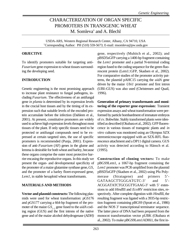### CHARACTERIZATION OF ORGAN SPECIFIC PROMOTERS IN TRANSGENIC WHEAT M. Somleva\* and A. Blechl

USDA-ARS, Western Regional Research Center, Albany, CA 94710, USA \*Corresponding Author: PH (510) 559-5673; E-mail: msomleva@pw.usda.gov

#### **OBJECTIVE**

To identify promoters suitable for targeting anti-*Fusarium* gene expression to wheat tissues surrounding the developing seed.

#### **INTRODUCTION**

Genetic engineering is the most promising approach to increase plant resistance to fungal pathogens, including *Fusarium*. The effectiveness of an antifungal gene *in planta* is determined by its expression levels in the crucial host tissues and by the timing of its expression such that suitable levels of the encoded protein accumulate before the infection (Dahleen et al., 2001). At present, constitutive promoters are widely used to achieve high expression levels throughout most tissues of the plant. If only specific tissues need to be protected or antifungal compounds need to be expressed at certain targeted sites, the use of specific promoters is recommended (Punja, 2001). Expression of anti-*Fusarium* (AF) genes in the glume and lemma is desirable for both wheat and barley, because these organs comprise the outer most protective barrier encasing the reproductive organs. In this study we present the organ- and developmental specificity of the promoter of a maize glutamine synthase gene, *GS*, and the promoter of a barley floret-expressed gene, *Lem1*, in stable hexaploid wheat transformants.

### **MATERIALS AND METHODS**

**Vector and plasmid constructs:**The following plasmids were used for wheat transformation: pGS176 and pGS177 carrying a 664-bp fragment of the promoter of the maize *GS1-2* gene fused to the *uidA* coding region (GUS) and the first introns of the native gene and of the maize alcohol dehydrogenase (*ADH)*

gene, respectively (Muhitch et al., 2002); and pBSD5sGFP carrying a 1400-bp fragment containing the *Lem1* promoter and a partial N-terminal coding region fused to the coding sequence for the green fluorescent protein (Lem1::GFP, Skadsen et al., 2002). For comparative studies of the promoter activity patterns, the plasmid pAHC15 carrying the *uidA* gene driven by the maize *Ubi1* promoter and first intron (UBI::GUS) was also used (Christensen and Quail, 1996).

**Generation of primary transformants and monitoring of the reporter gene expression:** Transient expression assays and wheat transformation were performed by particle bombardment of immature embryos of cv. Bobwhite. Stably transformed plants were identified as described (Okubara et al., 2002). GFP fluorescence in various tissues of transgenic plants and *in vitro* cultures was monitored using an Olympus SZX stereomicroscope equipped with an SZX-RFL fluorescence attachment and a DP11 digital camera. GUS activity was detected according to Hänsch et al. (1995).

**Construction of cloning vectors:** To make pBGS9Lem1, a 1067-bp fragment containing the *Lem1* promoter was PCR-amplified from the plasmid pBSD5sGFP (Skadsen et al., 2002) using Pfu Polymerase (Stratagene) and primers 5'- GATAAGCTTGGGATGTC-3' and 5'-ACGGATATCTGCGGTTGAAG-3' with 5' extensions to add *Hind*III and *Eco*RV restriction sites, respectively. After complete digestion with *Hind*III, the resulting fragment was ligated with a 3935-bp restriction fragment containing pBGS9 (Spratt et al., 1986) and the NOS 3' transcriptional terminator sequence. The latter piece of DNA had been prepared from the monocot transformation vector pUBK (Okubara et al., 2002). To make pBGS9Lem1ADHi1, the first in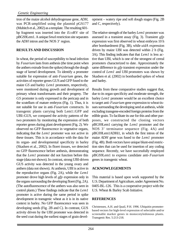tron of the maize alcohol dehydrogenase gene, *ADH,* was PCR-amplified using the plasmid pGS177 (Muhitch et al., 2002) as a template. The resulting 601 bp fragment was inserted into the *Eco*RV site of pBGS9Lem1. A unique *Sma*I restriction site separates the *ADH* intron and the NOS 3' region.

### **RESULTS AND DISCUSSION**

In wheat, the period of susceptibility to head infection by *Fusarium* lasts from anthesis (the time point when the anthers extrude from the spikes) through the dough stage of kernel development. To identify a promoter suitable for expression of anti-*Fusarium* genes, the activities of reporter genes GUS and GFP fused to the maize *GS* and barley *Lem1* promoters, respectively, were monitored during growth and development of primary wheat transformants and their progeny. The *GS* promoter is only expressed in the pericarp and in the scutellum of mature embryos (Fig. 1). Thus, it is not suitable for use in anti-*Fusarium* constructs. In transgenic plants carrying both Lem1::GFP and UBI::GUS, we compared the activity patterns of the two promoters by monitoring the expression of both reporter genes during plant development (Fig. 2). We observed no GFP fluorescence in vegetative organs, indicating that the *Lem1* promoter was not active in these tissues. This is in accordance with the data for its organ- and developmental specificity in barley (Skadsen et al., 2002). In floret tissues, we detected no GFP fluorescence before anthesis, demonstrating that the *Lem1* promoter did not function before this stage (data not shown). In contrast, strong UBI-driven GUS activity was detected in the young ovary and anthers (data not shown). At anthesis, UBI is active in the reproductive organs (Fig. 2A), while the *Lem1* promoter drove high levels of *gfp* expression only in the organs surrounding the developing floret (Fig. 2A). (The autofluorescence of the anthers was also seen in control plants.) These findings indicate that the *Lem1* promoter is active during the same period in spike development in transgenic wheat as it is in its native context in barley. No GFP fluorescence was seen in developing seeds (Fig. 2B and C). In contrast, GUS activity driven by the UBI promoter was detected in the seed coat during the earliest stages of grain devel-

opment – watery ripe and soft dough stages (Fig. 2B and C, respectively).

The relative strength of the barley *Lem1* promoter was assessed in a transient assay (Fig. 3). Transient *gfp* expression was first observed in wheat embryos 10 h after bombardment (Fig. 3B), while *uidA* expression driven by maize UBI was detected within 2 h (Fig. 3A). This finding indicates that that *Lem1* is less active than UBI, which is one of the strongest of cereal promoters characterized to date. Approximately the same difference in *gfp* transient expression under the control of *Lem1* and UBI promoters was shown by Skadsen et al. (2002) in bombarded spikes of wheat and barley.

Results from these comparative studies suggest that, due to its organ specificity and moderate strength, the barley *Lem1* promoter would be an excellent choice to target anti-*Fusarium* gene expression to wheat tissues surrounding the developing seed at anthesis, while excluding transgene-encoded foreign proteins from the edible grain. To facilitate its use for this and other purposes, we constructed the cloning vectors pBGS9Lem1 carrying the *Lem1* promoter and the NOS 3' terminator sequence (Fig. 4A) and pBGS9Lem1ADHi1, in which the first intron of the maize *ADH* gene was fused to the *Lem1* promoter (Fig. 4B). Both vectors have unique blunt-end restriction sites that can be used for insertion of any coding sequence. Recently, we have successfully employed pBGS9Lem1 to express candidate anti-*Fusarium* genes in transgenic wheat.

### **ACKNOWLEGEMENTS**

This material is based upon work supported by the U.S. Department of Agriculture, under Agreement No. 0405-BL-126. This is a cooperative project with the U.S. Wheat & Barley Scab Initiative.

### **REFERENCES**

Christensen, A.H. and Quail, P.H. 1996. Ubiquitin promoterbased vectors for high-level expression of selectable and/or screenable marker genes in monocotyledonous plants. Transgenic Res. 5:213-218.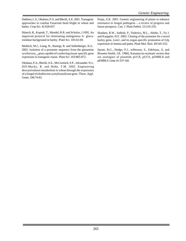Dahleen, L.S., Okubara, P.A. and Blechl, A.E. 2001. Transgenic approaches to combat Fusarium head blight in wheat and barley. Crop Sci. 41:628-637.

Hänsch, R., Koprek, T., Mendel, R.R. and Schulze, J.1995. An improved protocol for eliminating endogenous b- glucuronidase background in barley. Plant Sci. 105:63-69.

Muhitch, M.J., Liang, H., Rastogi, R. and Sollenberger, K.G. 2002. Isolation of a promoter sequence from the glutamine synthetase $_{1-2}$  gene capable of conferring tissue-specific gene expression in transgenic maize. Plant Sci. 163:865-872.

Okubara, P.A., Blechl, A.E., McCormick, S.P., Alexander, N.J., Dill-Macky, R. and Hohn, T.M. 2002. Engineering deoxynivalenol metabolism in wheat through the expression of a fungal trichothecene acetyltransferase gene. Theor. Appl. Genet. 106:74-83.

Punja, Z.K. 2001. Genetic engineering of plants to enhance resistance to fungal pathogens – a review of progress and future prospects. Can. J. Plant Pathol. 23:216-235.

Skadsen, R.W., Sathish, P., Federico, M.L., Abebe, T., Fu J. and Kaeppler, H.F. 2002. Cloning of the promoter for a novel barley gene, *Lem1*, and its organ-specific promotion of Gfp expression in lemma and palea. Plant Mol. Biol. 49:545-555.

Spratt, B.G., Hedge, P.J., teHeesen, S., Edelman, A. and Broome-Smith, J.K. 1986). Kanamycin-resistant vectors that are analogues of plasmids pUC8, pUC9, pEMBL8 and pEMBL9. Gene 41:337-342.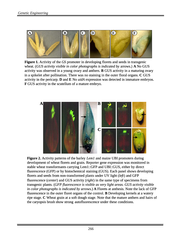

**Figure 1.** Activity of the *GS* promoter in developing florets and seeds in transgenic wheat. (*GUS activity visible in color photographs is indicated by* arrows.) **A** No GUS activity was observed in a young ovary and anthers. **B** GUS activity in a maturing ovary in a spikelet after pollination. There was no staining in the outer floral organs. **C** GUS activity in the pericarp. **D** and **E** No *uidA* expression was detected in immature embryos. **F** GUS activity in the scutellum of a mature embryo.



**Figure 2.** Activity patterns of the barley *Lem1* and maize UBI promoters during development of wheat florets and grain. Reporter gene expression was monitored in stable wheat transformants carrying Lem1::GFP and UBI::GUS, either by direct fluorescence (GFP) or by histochemical staining (GUS). Each panel shows developing florets and seeds from non-transformed plants under UV light (*left*) and GFP fluorescence (*center*) and GUS activity (*right*) in the same type of specimens from transgenic plants. (*GFP fluorescence is visible as very light areas. GUS activity visible in color photographs is indicated by* arrows.) **A** Florets at anthesis. Note the lack of GFP fluorescence in the outer floret organs of the control. **B** Developing kernels at a watery ripe stage. **C** Wheat grain at a soft dough stage. Note that the mature anthers and hairs of the caryopsis brush show strong autofluorescence under these conditions.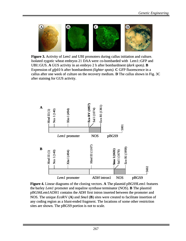

**Figure 3.** Activity of *Lem1* and UBI promoters during callus initiation and culture. Isolated zygotic wheat embryos 21 DAA were co-bombarded with Lem1::GFP and UBI::GUS. **A** GUS activity in an embryo 2 h after bombardment (*dark spots)*. **B** Expression of *gfp*10 h after bombardment *(lighter spots).* **C** GFP fluorescence in a callus after one week of culture on the recovery medium. **D** The callus shown in Fig. 3C after staining for GUS activity.



**Figure 4.** Linear diagrams of the cloning vectors. **A** The plasmid pBGS9Lem1 features the barley *Lem1* promoter and nopaline synthase terminator (NOS). **B** The plasmid pBGS6Lem1ADH1 contains the *ADH* first intron inserted between the promoter and NOS. The unique *Eco*RV (**A**) and *Sma*I (**B**) sites were created to facilitate insertion of any coding region as a blunt-ended fragment. The locations of some other restriction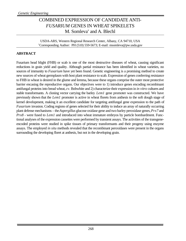# COMBINED EXPRESSION OF CANDIDATE ANTI-*FUSARIUM* GENES IN WHEAT SPIKELETS M. Somleva\* and A. Blechl

USDA-ARS, Western Regional Research Center, Albany, CA 94710, USA \*Corresponding Author: PH (510) 559-5673; E-mail: msomleva@pw.usda.gov

### **ABSTRACT**

Fusarium head blight (FHB) or scab is one of the most destructive diseases of wheat, causing significant reductions in grain yield and quality. Although partial resistance has been identified in wheat varieties, no sources of immunity to *Fusarium* have yet been found. Genetic engineering is a promising method to create new sources of wheat germplasm with host plant resistance to scab. Expression of genes conferring resistance to FHB in wheat is desired in the glume and lemma, because these organs comprise the outer most protective barrier encasing the reproductive organs. Our objectives were to 1) introduce genes encoding recombinant antifungal proteins into bread wheat, *cv.* Bobwhite and 2) characterize their expression in *in vitro* cultures and stable transformants. A cloning vector carrying the barley *Lem1* gene promoter was constructed. We have previously shown that the *Lem1* promoter is active in wheat florets from anthesis to the soft dough stage of kernel development, making it an excellent candidate for targeting antifungal gene expression to the path of *Fusarium* invasion. Coding regions of genes selected for their ability to induce an array of naturally occurring plant defense mechanisms – the *Aspergillus* glucose oxidase gene and two barley peroxidase genes, *Prx7* and *Prx8 -* were fused to *Lem1* and introduced into wheat immature embryos by particle bombardment. Functional analyses of the expression cassettes were performed by transient assays. The activities of the transgeneencoded proteins were studied in spike tissues of primary transformants and their progeny using enzyme assays. The employed *in situ* methods revealed that the recombinant peroxidases were present in the organs surrounding the developing floret at anthesis, but not in the developing grain.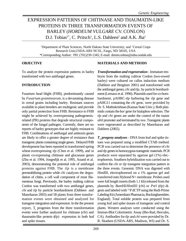# EXPRESSION PATTERNS OF CHITINASE AND THAUMATIN-LIKE PROTEINS IN THREE TRANSFORMATION EVENTS OF BARLEY (*HORDEUM VULGARE* CV. CONLON) D.J. Tobias<sup>1\*</sup>, C. Pritsch<sup>1</sup>, L.S. Dahleen<sup>2</sup> and A.K. Jha<sup>1</sup>

<sup>1</sup>Department of Plant Sciences, North Dakota State University; and <sup>2</sup>Cereal Crops Research Unit,USDA-ARS NCSL, Fargo, ND 58105, USA \*Corresponding Author: PH: (701)239-1345; E-mail: dennis.tobias@ndsu.nodak.edu

#### **OBJECTIVE**

To analyze the protein expression patterns in barley transformed with two antifungal genes.

#### **INTRODUCTION**

Fusarium head blight (FHB), predominantly caused by *Fusarium graminearum*, is a devastating disease in cereal grains including barley. Resistant sources available to plant breeders are multigenic and provide only partial protection from FHB. Resistance to FHB might be achieved by overexpressing pathogenesisrelated (PR) proteins that degrade structural components of the fungal pathogen. Currently, there are no reports of barley genotypes that are highly resistant to FHB. Combinations of antifungal and antitoxin genes are likely to offer a greater degree of resistance than transgenic plants containing single genes. Delayed FHB development has been reported in transformed spring wheat overexpressing *tlp* (Chen et al. 1999), and in plants co-expressing chitinase and glucanase genes (Zhu et al. 1994, Jongedijk et al. 1995, Anand et al. 2003), demonstrating the potential role of antifungal proteins against FHB. The *tlp* is a membrane permeabilizing protein while *chi* catalyzes the degradation of chitin, a cell wall component of most filamentous fungi. Previously, the barley malting cultivar Conlon was transformed with two antifungal genes, *chi* and *tlp* by particle bombardment (Dahleen and Manoharan 2003) and 58 plants from three transformation events were obtained and analyzed for transgene integration and expression. In the the present report,  $T_3$  progenies from the three transformation events were further analyzed for chitinase (*chi*) and thaumatin-like protein (*tlp*) expression in both leaf and spike tissues.

#### **MATERIALS AND METHODS**

*Transformation and regeneration* - Immature embryos from the malting cultivar Conlon (two-rowed barley) were cultured on callus induction medium (Dahleen and Bregitzer 2001) and transformed with the antifungal genes, *chi* and *tlp,* by particle bombardment (Lemaux et al. 1996). Plasmids used for co-bombardment, pAHRC-*tlp* harboring the *tlp* gene and pAHG11 containing the *chi* gene, were provided by Dr. S. Muthukrishnan (Kansas State Univ.). Both plasmids contain the *bar* gene for bialaphos selection. The *tlp* and *chi* genes are under the control of the maize *ubil* promoter and terminated by *nos*. Transgenic plants were regenerated as described by Manoharan and Dahleen (2002).

*T3 progeny analyses* - DNA from leaf and spike tissues was prepared using a modified CTAB method. PCR was carried out to determine the presence of *chi* and *tlp* genes in homozygous transgenic materials. PCR products were separated by agarose gel (1%) electrophoresis. Southern hybridization was carried out to confirm the *chi* or *tlp* transgene integration pattern in the three events. Genomic DNA was digested with *Hin*dIII, electrophoresed on a 1% agarose gel and transferred onto Hybond N+ membrane. Probes used were full length inserts (both 1.1 kb) released from the plasmids by *Bam*HI/*Hin*dIII (*chi*) or *Pst*I (*tlp*) digests and labeled with 32P dCTP using the Redi-Prime Labeling Kit (Amersham Pharmacia, Buckinghamshire, England). Total soluble protein was prepared from young leaf and spike tissues of transgenic and control plants. Western analyses were conducted using the Immun-Blot Colorimetric Assay (Bio-Rad, Hercules, CA). Antibodies for *tlp* and *chi* were provided by Dr. R. Skadsen (USDA-ARS, Madison, WI) and Dr. S.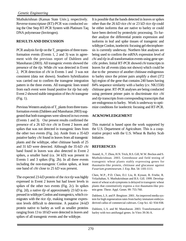Muthukrishnan (Kansas State Univ.), respectively. Reverse-transcriptase (RT)-PCR was conducted using the One Step RT-PCR System with Platinum Taq DNA polymerase (Invitrogen).

### **RESULTS AND DISCUSSION**

PCR analysis for  $\mathit{tlp}$  on the  $T_3$  progenies of three transformation events (Events 1, 2 and 3) was in agreement with the previous report of Dahleen and Manoharan (2003). All transgenic events showed the presence of the *tlp*. While *chi* was detected in Event 2, PCR detection of *chi* in Events 1 and 3 was not consistent (data not shown). Southern hybridization was carried out to confirm the transgene integration pattern in the three events. All transgenic lines tested from each event were found positive for *tlp* but only Event 2 showed stable integration of the *chi* transgene (Fig. 1).

Previous Western analysis of  $T_2$  plants from three transformation events (Dahleen and Manoharan 2003) suggested that both transgenes were silenced in two events (Events 1 and 3). Our present results confirmed the presence of a 26 kD rice *chi* in Event 2 leaves and spikes that was not detected in transgenic lines from the other two events (Fig. 2a). Aside from a 35-kD putative barley *chi* found in leaves from all transgenic plants and the wildtype, other chitinase bands of 25 and 31 kD were detected. Although the 35-kD *chi* band found in leaves was also detected in Event 2 spikes, a smaller band (ca. 34 kD) was present in Events 1 and 3 spikes (Fig. 2b). In all three events including the non-transgenic Conlon spikes, at least one band of *chi* close to 25 kD was present.

The expected 23-kD protein of the rice *tlp* was highly expressed in Event 2 leaves but had lower levels in spikes of the other two events (Fig. 2c). In spikes (Fig. 2d), a native *tlp* of approximately 23 kD is expressed in wildtype Conlon and transgenics, which comigrates with the rice *tlp*, making transgene expression levels difficult to determine. A putative 24-kD protein native to barley as well as smaller proteins ranging from 13 to 18 kD were detected in leaves and spikes of all transgenic events and the wildtype.

It is possible that the bands detected in leaves or spikes other than the 26 kD rice *chi* or 23 kD rice *tlp* could be either isoforms that are native to barley or could have been derived by proteolytic processing. To further analyze the differential protein expression and isoforms in leaf and spike tissues of transgenic and wildtype Conlon, isoelectric focusing gel electrophoresis is currently underway. Northern blot analyses are being used to confirm the mRNA expression level of *chi* and *tlp* in all transformation events using gene specific probes. Initial RT-PCR showed *chi* transcripts in leaves for all events (data not shown) which could be due to the presence of another chitinase endogenous to barley since the primer pairs amplify a short (372 bp) region of the gene that contains 240 bases having 84% sequence similarity with a barley (cv. NK1558) chitinase gene. RT-PCR analyses are being conducted using pertinent primer pairs to discriminate rice *chi* and *tlp* transcripts from corresponding transcripts that are endogenous to barley. Work is underway to optimize conditions for isoelectric focusing and RT-PCR.

### **ACKNOWLEDGEMENT**

This material is based upon the work supported by the U.S. Department of Agriculture. This is a cooperative project with the U.S. Wheat & Barley Scab Initiative.

### **REFERENCES**

Anand, A., T. Zhou, H.N. Trick, B.S. Gill, W.W. Bockus and S. Muthukrishnan. 2003. Greenhouse and field testing of transgenic wheat plants stably expressing genes for thaumatin-like protein, chitinase and glucanase against *Fusarium graminearum*. J. Exp. Bot*.* 54: 1101-1111.

Chen, W.P., P.D. Chen, D.J. Liu, R. Kynast, B. Friebe, R. Velazhahan, S. Muthukrishnan and B.S. Gill. 1999. Development of wheat scab symptoms is delayed in transgenic wheat plants that constitutively express a rice thaumatin-like protein gene. Theor. Appl. Genet. 99: 755-760.

Dahleen, L.S. and P. Bregitzer. 2001. An improved media system for high regeneration rates from barley immature embryoderived callus of commercial cultivars. Crop Sci. 42: 934-938.

Dahleen, L.S. and M. Manoharan. 2003. Transformation of barley with two antifungal genes. In Vitro 39:36-A.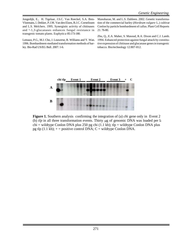Jongedijk, E., H. Tigelaar, J.S.C. Van Roeckel, S.A. Bres-Vloemans, I. Dekker, P.J.M. Van den Elzen, B.J.C. Cornelissen and L.S. Melchers. 1995. Synergistic activity of chitinases and ²-1,3-glucanases enhances fungal resistance in transgenic tomato plants. Euphytic*a* 85:173-180.

Lemaux, P.G., M.J. Cho, J. Louwerse, R. Williams and Y. Wan. 1996. Bombardment-mediated transformation methods of barley. Bio-Rad US/EG Bull*.* 2007: 1-6.

Manoharan, M. and L.S. Dahleen. 2002. Genetic transformation of the commercial barley (*Hordeum vulgare* L.) cultivar Conlon by particle bombardment of callus. Plant Cell Reports 21: 76-80.

Zhu, Q., E.A. Maher, S. Masoud, R.A. Dixon and C.J. Lamb. 1994. Enhanced protection against fungal attack by constitutive expression of chitinase and glucanase genes in transgenic tobacco. Bio/technology 12:807-812.



**Figure 1.** Southern analysis confirming the integration of (a) *chi* gene only in Event 2 (b)  $tlp$  in all three transformation events. Thirty  $\mu$ g of genomic DNA was loaded per langle chi = wildtype Conlon DNA plus 250 pg chi (1.1 kb); tlp = wildtype Conlon DNA plus pg tlp  $(1.1 \text{ kb})$ ;  $+$  = positive control DNA; C = wildtype Conlon DNA.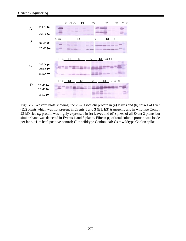

**Figure 2.** Western blots showing the 26-kD rice *chi* protein in (a) leaves and (b) spikes of Ever (E2) plants which was not present in Events 1 and 3 (E1, E3) transgenic and in wildtype Conlon 23-kD rice *tlp* protein was highly expressed in (c) leaves and (d) spikes of all Event 2 plants but a similar band was detected in Events 1 and 3 plants. Fifteen μg of total soluble protein was loade per lane.  $+L =$  leaf, positive control;  $Cl =$  wildtype Conlon leaf;  $Cs =$  wildtype Conlon spike.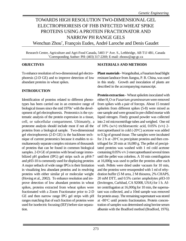# TOWARDS HIGH RESOLUTION TWO-DIMENSIONAL GEL ELECTROPHORESIS OF FHB INFECTED WHEAT SPIKE PROTEINS USING A PROTEIN FRACTIONATOR AND NARROW PH RANGE GELS Wenchun Zhou\* , François Eudes, André Laroche and Denis Gaudet

Research Centre, Agriculture and Agri-Food Canada, 5403 1<sup>st</sup> Ave. S., Lethbridge, AB T1J 4B1, Canada \*Corresponding Author: PH: (403) 317-2269; E-mail: zhouw@agr.gc.ca

#### **OBJECTIVES**

To enhance resolution of two-dimensional gel electrophoresis (2-D GE) and to improve detection of low abundant proteins in wheat spikes.

### **INTRODUCTION**

Identification of proteins related to different phenotypes has been carried out in an extensive range of biological tissues since the mid 1970s' with the development of gel electrophoresis. Proteomics is the systematic analysis of the protein expression in a tissue, cell, or subcellular compartment. Ultimately, a proteome analysis should include most if not all the proteins from a biological sample. Two-dimensional gel electrophoresis (2-D GE) is the backbone technique of current proteomics because it enables to simultaneously separate complex mixtures of thousands of proteins that can be found in common biological samples. 2-D GE of proteins with broad range immobilized pH gradient (IPG) gel strips such as pH4-7 and pH3-10 is commonly used for displaying proteins A major setback of wide range IPGs is their limitation in visualizing less abundant proteins and in resolving proteins with either similar pI or molecular weight (Hoving et al., 2002). To enhance resolution and improve detection of low abundant proteins in wheat spikes, proteins extracted from wheat spikes were fractionated with a Zoom Fractionator prior to 2-D GE and then narrow range IPG gel strips with pH ranges matching that of each fraction of proteins were used for isoelectric focusing (IEF) before size separation.

### **MATERIALS AND METHODS**

**Plant materials -** Wangshuibai, a Fusarium head blight resistant landrace from Jiangsu, P. R. China, was used in this study. Growth and inoculation of plants are described in the accompanying manuscript.

**Protein extraction** - Wheat spikelets inoculated with either H2O or *Fusarium graminearum* were removed from spikes with a pair of forceps. About 15 treated spikelets from different spikes (5-8) were mixed as one sample and were ground in pre-chilled mortar with liquid nitrogen. Finely ground powder was collected into 2 ml microcentrifuge tubes and weighed. One ml of  $10\%$  (w/v) trichloroacetic acid,  $0.05\%$  (v/v) 2mercaptoethanol in cold  $(-20^{\circ}C)$  acetone was added to 0.3g of ground tissue. The samples were incubated for 2 h at -20 $\rm{^{\circ}C}$  to precipitate proteins and then centrifuged for 20 min at 16,000 g. The pellet of precipitated proteins was washed with 1 ml cold acetone containing 0.05% v/v 2-mercaptoethanol several times until the pellet was colorless. A 10 min centrifugation at 16,000g was used to pellet the proteins after each wash. Pellets were dried under vacuum for 10 min, and the proteins were resuspended with 1 ml of rehydration buffer (5 M urea, 2 M thiourea, 2% CHAPS, 20 mM DTT, and 0.5% carrier ampholytes pH3-10 (Invitrogen, Carlsbad, CA 92008, USA) for 1 h. After centrifugation at 16,000g for 10 min, the supernatant was collected, and a 10ml sample was removed for protein assay. The remaining supernatant was stored at -80°C until protein fractionation. Protein concentration of samples was determined using bovine serum albumin with the Bradford method (Bradford, 1976).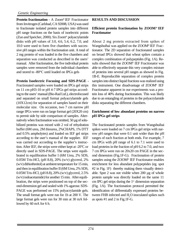**Protein fractionation -** A Zoom® IEF Fractionator from Invitrogen (Carlsbad, CA 92008, USA) was used to fractionate isolated protein samples into different pH range fractions on the basis of isoelectric points (Zuo and Speicher, 2000). Six Zoom® polyacrylamide disks with pH values of 3.0, 4.6, 5.4, 6.2, 7.0, and 10.0 were used to form five chambers with successive pH ranges within the fractionation unit. A total of 2 mg protein of was loaded in the five chambers and separation was conducted as described in the users' manual. After fractionation, the five individual protein samples were removed from the individual chambers and stored to -80°C until loaded on IPGs gels

### **Protein Isoelectric Focusing and SDS-PAGE -**

Fractionated samples were loaded on IPGs gel strips on 11 cm pH3-10 or pH 4-7 IPGs gel strips according to the users' manual (Bio-Rad Ltd.), electrofocused and separated on small format polyacrylamide gels (10X12cm) for separation of samples based on their molecular size. On occasion, two 7 cm narrow pH range IPGs were run on large format gel (20X20 cm) to permit side by side comparison of samples. Alternatively when fractionation was omitted,  $50 \mu$ g of solubilized proteins was mixed with 2 vol of rehydration buffer (6M urea, 2M thiourea, 2%CHAPS, 1% DTT and 0.5% ampholytes) and loaded on IEF gel strips according to the user's manual of the supplier. IEF was carried out according to the supplier's instruction. After IEF, the strips were either kept at -20ºC or directly used in SDS-PAGE. The strips were equilibrated in equilibration buffer I (6M Urea, 2% SDS, 0.05M Tris-HCl, (pH 8.8), 20% (w/v) glycerol, 2% (w/v) dithiothreitol) at ambient temperature for 15 min, and then in equilibration buffer II (6M Urea, 2% SDS, 0.05M Tris-HCl, (pH 8.8), 20% (w/v) glycerol, 2.5% (w/v) iodoacetamide) for another 15 min. After equilibration, the strips were positioned on top of the second-dimension gel and sealed with 1% agarose. SDS-PAGE was performed on 15% polyacrylamide gels. The small format gels were run for 1h at 200 V. The large format gels were run for 30 min at 30 mA followed by 60 mA for 6 h.

#### **RESULTS AND DISCUSSION**

#### **Efficient protein fractionation by ZOOM® IEF Fractionator**

About 2 mg protein extracted from spikes of Wangshuibai was applied on the ZOOM® IEF Fractionator. The 2D separation of fractionated samples on broad IPGs showed that wheat spikes contain a complex combination of polypeptides (Fig. 1A). Results showed that the ZOOM® IEF Fractionator was able to effectively separate this very complex mixture of proteins into several pH ranges as showed in Fig. 1B-E. Reproducible separation of complex protein samples into distinct liquid fractions was realized using this instrument. One disadvantage of ZOOM® IEF Fractionator apparent in our experiments was a protein loss of 40% during fractionation. This was likely due to an entangling of proteins in the polyacrylamide disks separating the different chambers.

#### **Enrichment of low abundant proteins on narrow pH IPGs gel strips**

The fractionated protein samples from Wangshuibai spikes were loaded on 7 cm IPGs gel strips with narrow pH ranges that were 0.1 unit wider than the pH ranges of each fraction at both ends. For example, 7 cm IPGs with pH range of 6.1 to 7.1 were used to load proteins in the fraction of pH 6.2 to 7.0, and two 7 cm IPGs were run on 20x20 cm PAGE in the second dimension (Fig.1F-G). Fractionation of protein samples using the ZOOM® IEF Fractionator enables enrichment for less abundant polypeptides (eg. spot #2 in Fig. 1F) thereby making them visually detectable. Spot 2 was not visible when 200 µg of whole protein sample was directly loaded on the same 11 cm IPG gel strips during the  $1<sup>st</sup>$  dimension separation (Fig. 1A). The fractionation protocol permitted the identification of differentially expressed proteins between FHB infected and H<sub>2</sub>O inoculated spikes such as spots #1 and 2 in Fig.1F-G.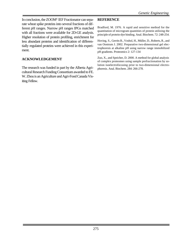In conclusion, the ZOOM® IEF Fractionator can separate wheat spike proteins into several fractions of different pH ranges. Narrow pH ranges IPGs matched with all fractions were available for 2D-GE analysis. Higher resolution of protein profiling, enrichment for less abundant proteins and identification of differentially regulated proteins were achieved in this experiment.

### **ACKNOWLEDGEMENT**

The research was funded in part by the Alberta Agricultural Research Funding Consortium awarded to FE. W. Zhou is an Agriculture and Agri-Food Canada Visiting Fellow.

### **REFERENCE**

Bradford, M. 1976. A rapid and sensitive method for the quantitation of microgram quantities of protein utilizing the principle of protein-dye binding. Anal. Biochem. 72: 248-254.

Hoving, S., Gerrits B., Voshol, H., Müller, D., Roberts, R., and van Oostrum J. 2002. Preparative two-dimensional gel electrophoresis at alkaline pH using narrow range immobilized pH gradients. Proteomics 2: 127-134

Zuo, X., and Speicher, D. 2000. A method for global analysis of complex proteomes using sample prefractionation by solution isoelectrofocusing prior to two-dimensional electrophoresis. Anal. Biochem. 284: 266-278.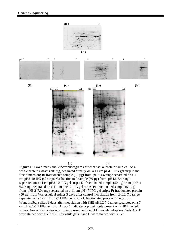

**Figure 1:** Two dimensional electrophoregrams of wheat spike protein samples. **A:** a whole protein extract  $(200 \mu g)$  separated directly on a 11 cm pH4-7 IPG gel strip in the first dimension; **B:** fractionated sample (10 µg) from pH3-4.6 range separated on a 11 cm pH3-10 IPG gel strips; **C:** fractionated sample (50 µg) from pH4.6-5.4 range separated on a 11 cm pH3-10 IPG gel strips; **D**: fractionated sample (50 µg) from pH5.4- 6.2 range separated on a 11 cm pH4-7 IPG gel strips;  $\bf{E}$ : fractionated sample (50  $\mu$ g) from pH6.2-7.0 range separated on a 11 cm pH4-7 IPG gel strips; **F:** fractionated protein (50 µg) from Wangshuibai spikes 3 days after control inoculation from pH6.2-7.0 range separated on a 7 cm pH6.1-7.1 IPG gel strip. **G:** fractionated protein (50 ug) from Wangshuibai spikes 3 days after inoculation with FHB pH6.2-7.0 range separated on a 7 cm pH 6.1-7.1 IPG gel strip. Arrow 1 indicates a protein only present on FHB infected spikes. Arrow 2 indicates one protein present only in  $H_2O$  inoculated spikes. Gels A to E were stained with SYPRO-Ruby while gels F and G were stained with silver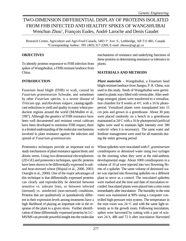# TWO-DIMENSION DIFFERENTIAL DISPLAY OF PROTEINS ISOLATED FROM FHB INFECTED AND HEALTHY SPIKES OF WANGSHUIBAI Wenchun Zhou\* , François Eudes, André Laroche and Denis Gaudet

Research Centre, Agriculture and Agri-Food Canada, 5403 1st Ave. S., Lethbridge, AB T1J 4B1, Canada \*Corresponding Author: PH: (403) 317-2269; E-mail: zhouw@agr.gc.ca

#### **OBJECTIVES**

To identify proteins responsive to FHB infection from spikes of Wangshuibai, a FHB resistant landrace from China.

### **INTRODUCTION**

Fusarium head blight (FHB) or scab, caused by *Fusarium graminearum* Schwabe, and sometimes by other *Fusarium* species, is a severe disease of *Triticum spp*. and *Hordeum vulgare*, causing significant reductions in yield and quality in many wheat production regions around the world (McMullen et al., 1997). Although the genetics of FHB resistance have been well documented and resistant cereal cultivars have been developed to minimize FHB impact, there is a limited understanding of the molecular mechanisms involved in plant resistance against the infection and spread of *Fusarium graminearum*.

Proteomics techniques provide an important tool to study mechanisms of plant resistance against biotic and abiotic stress. Using two-dimensional electrophoresis (2D-GE) and proteomics techniques, specific proteins have been shown to be differentially expressed in saltand heat-stressed wheat (Majoul et al., 2000, 2003; Ouerghi et al., 2000). One of the major advantages of this technique is that differentially expressed proteins can clearly and reproducibly be detected between sensitive vs. tolerant lines, or between infected (stressed) vs. uninfected (non-stressed) conditions. Proteins that are qualitatively or quantitatively different in their expression levels among treatments have a high likelihood of playing an important role in the response of the plant to a given stress. Further identification of these differentially expressed proteins by LC-MS/MS can provide powerful insight into the molecular mechanisms of resistance and underlying functions of these proteins in determining resistance or tolerance in plants.

#### **MATERIALS AND METHODS**

*Plant materials* **-** Wangshuibai, a Fusarium head blight resistant landrace from Jiangsu, P. R. China, was used in this study. Seeds of Wangshuibai were germinated in plastic trays filled with vermiculite. After seedlings emerged, plants were transferred to a vernalization chamber for 8 weeks at  $4^{\circ}$ C with a 16 hr photoperiod. Vernalized plants were transplanted into 15 cm pots and grown in a greenhouse. About 30 pots were placed randomly on a bench in a greenhouse maintained at 24°C with a 16 hr photoperiod (artificial lights were used to maintain light intensity over 300 watts/m<sup>2</sup> when it is necessary). The same water and fertilizer management were used for all materials during the entire growing period.

Wheat spikelets were inoculated with *F. graminarium* conidiospores or deionized water using two syringes on the morning when they were at the mid-anthesis developmental stage. About 1000 conidiospores in a volume of 10 µl were injected into two flowering florets of a spikelet. The same volume of deionized water was injected into flowering spikelets on a different plant to serve as a control. The inoculated spikelets were marked and the time and date of inoculation recorded. Inoculated plants were placed into a mist room immediately after inoculation. The humidity in the mist room was maintained at 90% using a computer controlled high-pressure mist system. The temperature in the mist room was  $24 \text{ °C}$  and with the same light intensity as in the growth room. Following inoculation, spikes were harvested by cutting with a pair of scissors 24 h, 48h and 72 h after inoculation Harvested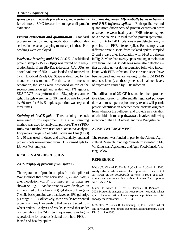spikes were immediately placed on ice, and were transferred into a -80°C freezer for storage until protein extraction.

*Protein extraction and quantitation -* Standard protein extraction and quantification methods described in the accompanying manuscript in these Proceedings were employed.

*Isoelectric focusing and SDS-PAGE -* A solubilised protein sample (150 -500µg) was mixed with rehydration buffer from Bio-Rad (Hercules, CA, USA) to a total volume of 350 µl was loaded and focused on 17 cm Bio-Rad Ready Gel Strips as described by the manufacturer's manual. For the second dimension separation, the strips were positioned on top of the second-dimension gel and sealed with 1% agarose. SDS-PAGE was performed on 15% polyacrylamide gels. The gels were run for 30 min at 30 mA followed by 60 mA for 6 h. Sample separation was repeated three times.

*Staining of PAGE gels -* Three staining methods were used in this experiment. The silver stainning method was used for analytical purpose. The SYPRO Ruby stain method was used for quantitative analysis. For preparative gels, Colloidal Coomassie Blue (CBB) G-250 was used. Induced and differentially regulated protein spots were excised from CBB stained gels for LC-MS/MS analysis.

### **RESULTS AND DISCUSSION**

### *2-DE display of proteins from spikes -*

The separation of protein samples from the spikes of Wangshuibai that were harvested 1-, 2-, and 3-days after inoculation with *F*. *graminearum* or water are shown on Fig. 1. Acidic proteins were displayed on immobilized pH gradient (IPG) gel strips pH range 4- 7, while basic proteins were displayed on IPG gel strips pH range 7-10. Collectively, these results represented proteins within pH range 4-10 that were extracted from wheat spikes. Analyses of results showed that under our conditions the 2-DE technique used was highly reproducible for proteins isolated from both FHB infected and healthy spikes.

*Proteins displayed differentially between healthy and FHB infected spikes* - Both qualitative and quantitative differences of protein expression were observed between healthy and FHB infected spikes on 3 time courses. In total, twelve protein spots ranging from 6 to 120 kilodaltons were detected only in proteins from FHB infected spikes. For example, two different protein spots from isolated spikes sampled 2- and 3-days after inoculation with FHB are shown in Fig. 2. More than twenty spots ranging in molecular size from 6 to 120 kilodaltons were also detected either as being up- or down-regulated following inoculation with FHB infection. These protein spots have been excised and we are waiting for the LC-MS/MS results to identify all these proteins with altered levels of expression caused by FHB infection.

The utilization of 2D-GE has enabled the reproducible identification of differentially regulated polypeptides and mass spectrophotometry results will permit protein identification whether these proteins originate from wheat or the pathogen and provide an indication of which biochemical pathways are involved following infection of the FHB wheat land race Wangshuibai.

### **ACKNOWLEDGEMENT**

The research was funded in part by the Alberta Agricultural Research Funding Consortium awarded to FE. W. Zhou is an Agriculture and Agri-Food Canada Visiting Fellow.

### **REFERENCE**

Majoul, T., Chahed, K., Zamiti, E., Ouelhazi, L., Ghrir, R., 2000. Analysis by two-dimensional electrophoresis of the effect of salt stress on the polypeptide patterns in roots of a salttolerant and a salt-sensitive cultivar of wheat. Electrophoresis 21: 2562-2565.

Majoul, T., Bancel, E., Triboi, E., Hamida, J. B., Branlard, G., 2003. Proteomic analysis of the heat stress on hexaploid wheat grain: characterization of heat-responsive proteins from total endosperm. Proteomics 3: 175-183.

McMullen, M., Jones, R., Gallenburg, D., 1997. Scab of wheat and barley: a re-emerging disease of devastating impact. Plant Dis. 81: 1340-1348.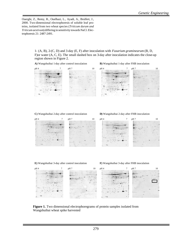Ouerghi, Z., Remy, R., Ouelhazi, L., Ayadi, A., Brulfert, J., 2000. Two-dimensional electrophoresis of soluble leaf proteins, isolated from two wheat species (*Triticum durum and Triticum aestivum*) differing in sensitivity towards NaCl. Electrophoresis 21: 2487-2491.

> 1- (A, B), 2-(C, D) and 3-day (E, F) after inoculation with *Fusarium graminearum* (B, D, F)or water (A, C, E). The small dashed box on 3-day after inoculation indicates the close-up region shown in Figure 2.

**A)** Wangshuibai 1-day after control inoculation **B)** Wangshuibai 1-day after FHB inoculation



#### **C)** Wangshuibai 2-day after control inoculation **D)** Wangshuibai 2-day after FHB inoculation







**Figure 1.** Two dimensional electrophoregrams of protein samples isolated from Wangshuibai wheat spike harvested